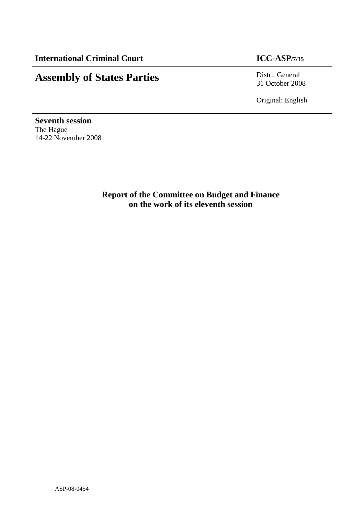# **Assembly of States Parties** Distr.: General Distr.: General

31 October 2008

Original: English

**Seventh session**  The Hague 14-22 November 2008

> **Report of the Committee on Budget and Finance on the work of its eleventh session**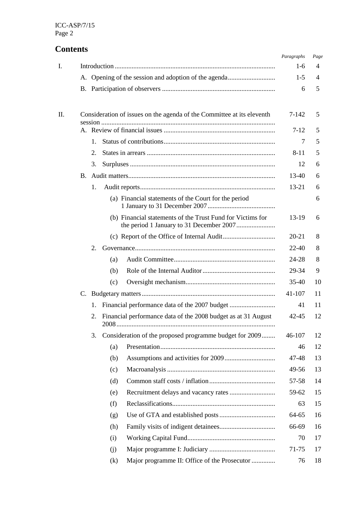## **Contents**

|    |             |                                                                                   | Paragraphs | Page |
|----|-------------|-----------------------------------------------------------------------------------|------------|------|
| L. |             |                                                                                   | $1-6$      | 4    |
|    |             | A. Opening of the session and adoption of the agenda                              | $1-5$      | 4    |
|    |             |                                                                                   | 6          | 5    |
| Π. |             | Consideration of issues on the agenda of the Committee at its eleventh<br>session | 7-142      | 5    |
|    |             |                                                                                   | $7-12$     | 5    |
|    | $1_{\cdot}$ |                                                                                   | 7          | 5    |
|    | 2.          |                                                                                   | $8 - 11$   | 5    |
|    | 3.          |                                                                                   | 12         | 6    |
|    |             |                                                                                   | 13-40      | 6    |
|    | 1.          |                                                                                   | 13-21      | 6    |
|    |             | (a) Financial statements of the Court for the period                              |            | 6    |
|    |             | (b) Financial statements of the Trust Fund for Victims for                        | 13-19      | 6    |
|    |             |                                                                                   | 20-21      | 8    |
|    | 2.          |                                                                                   | $22 - 40$  | 8    |
|    |             | (a)                                                                               | 24-28      | 8    |
|    |             | (b)                                                                               | 29-34      | 9    |
|    |             | (c)                                                                               | $35-40$    | 10   |
|    |             |                                                                                   | 41-107     | 11   |
|    | 1.          | Financial performance data of the 2007 budget                                     | 41         | 11   |
|    | 2.          | Financial performance data of the 2008 budget as at 31 August<br>2008             | 42-45      | 12   |
|    | 3.          | Consideration of the proposed programme budget for 2009                           | 46-107     | 12   |
|    |             | (a)                                                                               | 46         | 12   |
|    |             | (b)                                                                               | 47-48      | 13   |
|    |             | (c)                                                                               | 49-56      | 13   |
|    |             | (d)                                                                               | 57-58      | 14   |
|    |             | (e)                                                                               | 59-62      | 15   |
|    |             | (f)                                                                               | 63         | 15   |
|    |             | (g)                                                                               | 64-65      | 16   |
|    |             | (h)                                                                               | 66-69      | 16   |
|    |             | (i)                                                                               | 70         | 17   |
|    |             | (i)                                                                               | 71-75      | 17   |
|    |             | Major programme II: Office of the Prosecutor<br>(k)                               | 76         | 18   |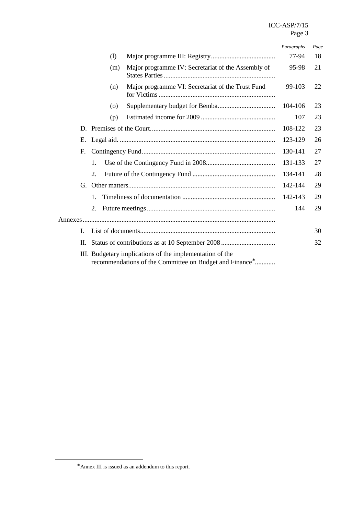## ICC-ASP/7/15 Page 3

|     |                    |                                                                                                                                 | Paragraphs | Page |
|-----|--------------------|---------------------------------------------------------------------------------------------------------------------------------|------------|------|
|     | (1)                |                                                                                                                                 | 77-94      | 18   |
|     | (m)                | Major programme IV: Secretariat of the Assembly of                                                                              | 95-98      | 21   |
|     | (n)                | Major programme VI: Secretariat of the Trust Fund                                                                               | 99-103     | 22   |
|     | $\left( 0 \right)$ |                                                                                                                                 | 104-106    | 23   |
|     | (p)                |                                                                                                                                 | 107        | 23   |
|     |                    |                                                                                                                                 | 108-122    | 23   |
| E.  |                    |                                                                                                                                 | 123-129    | 26   |
| F.  |                    |                                                                                                                                 | 130-141    | 27   |
|     | 1.                 |                                                                                                                                 | 131-133    | 27   |
|     | 2.                 |                                                                                                                                 | 134-141    | 28   |
|     |                    |                                                                                                                                 | 142-144    | 29   |
|     | $\mathbf{1}$ .     |                                                                                                                                 | 142-143    | 29   |
|     | 2.                 |                                                                                                                                 | 144        | 29   |
|     |                    |                                                                                                                                 |            |      |
| L   |                    |                                                                                                                                 |            | 30   |
| II. |                    |                                                                                                                                 |            | 32   |
|     |                    | III. Budgetary implications of the implementation of the<br>recommendations of the Committee on Budget and Finance <sup>*</sup> |            |      |

<sup>∗</sup> Annex III is issued as an addendum to this report.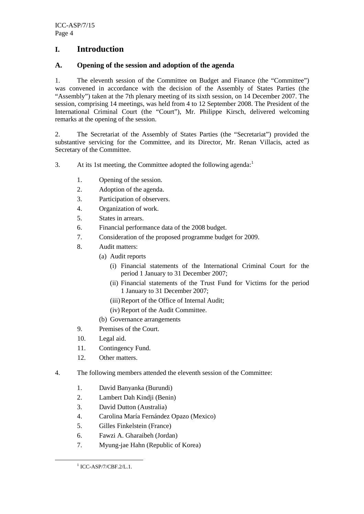## **I. Introduction**

### **A. Opening of the session and adoption of the agenda**

1. The eleventh session of the Committee on Budget and Finance (the "Committee") was convened in accordance with the decision of the Assembly of States Parties (the "Assembly") taken at the 7th plenary meeting of its sixth session, on 14 December 2007. The session, comprising 14 meetings, was held from 4 to 12 September 2008. The President of the International Criminal Court (the "Court"), Mr. Philippe Kirsch, delivered welcoming remarks at the opening of the session.

2. The Secretariat of the Assembly of States Parties (the "Secretariat") provided the substantive servicing for the Committee, and its Director, Mr. Renan Villacis, acted as Secretary of the Committee.

3. At its 1st meeting, the Committee adopted the following agenda: $1$ 

- 1. Opening of the session.
- 2. Adoption of the agenda.
- 3. Participation of observers.
- 4. Organization of work.
- 5. States in arrears.
- 6. Financial performance data of the 2008 budget.
- 7. Consideration of the proposed programme budget for 2009.
- 8. Audit matters:
	- (a) Audit reports
		- (i) Financial statements of the International Criminal Court for the period 1 January to 31 December 2007;
		- (ii) Financial statements of the Trust Fund for Victims for the period 1 January to 31 December 2007;
		- (iii)Report of the Office of Internal Audit;
		- (iv) Report of the Audit Committee.
	- (b) Governance arrangements
- 9. Premises of the Court.
- 10. Legal aid.
- 11. Contingency Fund.
- 12. Other matters.
- 4. The following members attended the eleventh session of the Committee:
	- 1. David Banyanka (Burundi)
	- 2. Lambert Dah Kindji (Benin)
	- 3. David Dutton (Australia)
	- 4. Carolina María Fernández Opazo (Mexico)
	- 5. Gilles Finkelstein (France)
	- 6. Fawzi A. Gharaibeh (Jordan)
	- 7. Myung-jae Hahn (Republic of Korea)

<sup>&</sup>lt;sup>1</sup> ICC-ASP/7/CBF.2/L.1.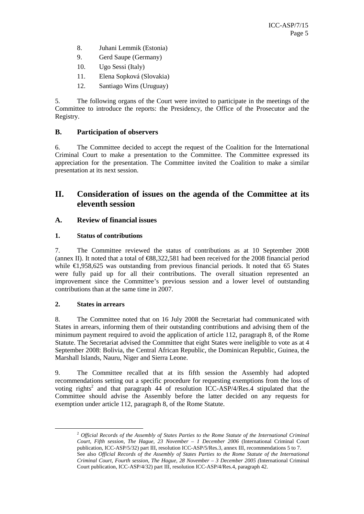- 8. Juhani Lemmik (Estonia)
- 9. Gerd Saupe (Germany)
- 10. Ugo Sessi (Italy)
- 11. Elena Sopková (Slovakia)
- 12. Santiago Wins (Uruguay)

5. The following organs of the Court were invited to participate in the meetings of the Committee to introduce the reports: the Presidency, the Office of the Prosecutor and the Registry.

## **B. Participation of observers**

6. The Committee decided to accept the request of the Coalition for the International Criminal Court to make a presentation to the Committee. The Committee expressed its appreciation for the presentation. The Committee invited the Coalition to make a similar presentation at its next session.

## **II. Consideration of issues on the agenda of the Committee at its eleventh session**

## **A. Review of financial issues**

#### **1. Status of contributions**

7. The Committee reviewed the status of contributions as at 10 September 2008 (annex II). It noted that a total of  $\epsilon$ 88,322,581 had been received for the 2008 financial period while  $\epsilon$ 1,958,625 was outstanding from previous financial periods. It noted that 65 States were fully paid up for all their contributions. The overall situation represented an improvement since the Committee's previous session and a lower level of outstanding contributions than at the same time in 2007.

#### **2. States in arrears**

 $\overline{a}$ 

8. The Committee noted that on 16 July 2008 the Secretariat had communicated with States in arrears, informing them of their outstanding contributions and advising them of the minimum payment required to avoid the application of article 112, paragraph 8, of the Rome Statute. The Secretariat advised the Committee that eight States were ineligible to vote as at 4 September 2008: Bolivia, the Central African Republic, the Dominican Republic, Guinea, the Marshall Islands, Nauru, Niger and Sierra Leone.

9. The Committee recalled that at its fifth session the Assembly had adopted recommendations setting out a specific procedure for requesting exemptions from the loss of voting rights<sup>2</sup> and that paragraph 44 of resolution ICC-ASP/4/Res.4 stipulated that the Committee should advise the Assembly before the latter decided on any requests for exemption under article 112, paragraph 8, of the Rome Statute.

<sup>2</sup> *Official Records of the Assembly of States Parties to the Rome Statute of the International Criminal Court, Fifth session, The Hague, 23 November – 1 December 2006* (International Criminal Court publication, ICC-ASP/5/32) part III, resolution ICC-ASP/5/Res.3, annex III, recommendations 5 to 7. See also *Official Records of the Assembly of States Parties to the Rome Statute of the International Criminal Court, Fourth session, The Hague, 28 November – 3 December 2005 (*International Criminal Court publication, ICC-ASP/4/32) part III, resolution ICC-ASP/4/Res.4, paragraph 42.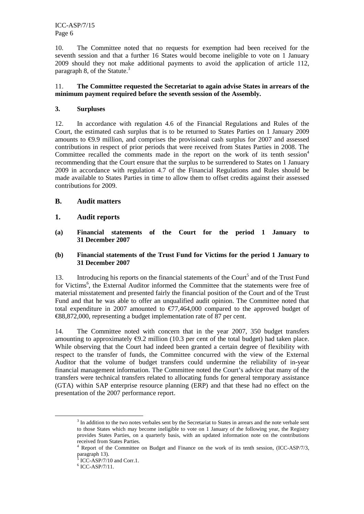ICC-ASP/7/15 Page 6

10. The Committee noted that no requests for exemption had been received for the seventh session and that a further 16 States would become ineligible to vote on 1 January 2009 should they not make additional payments to avoid the application of article 112, paragraph 8, of the Statute. $3$ 

#### 11. **The Committee requested the Secretariat to again advise States in arrears of the minimum payment required before the seventh session of the Assembly.**

#### **3. Surpluses**

12. In accordance with regulation 4.6 of the Financial Regulations and Rules of the Court, the estimated cash surplus that is to be returned to States Parties on 1 January 2009 amounts to  $\epsilon$ 9.9 million, and comprises the provisional cash surplus for 2007 and assessed contributions in respect of prior periods that were received from States Parties in 2008. The Committee recalled the comments made in the report on the work of its tenth session<sup>4</sup> recommending that the Court ensure that the surplus to be surrendered to States on 1 January 2009 in accordance with regulation 4.7 of the Financial Regulations and Rules should be made available to States Parties in time to allow them to offset credits against their assessed contributions for 2009.

#### **B. Audit matters**

#### **1. Audit reports**

**(a) Financial statements of the Court for the period 1 January to 31 December 2007** 

#### **(b) Financial statements of the Trust Fund for Victims for the period 1 January to 31 December 2007**

13. Introducing his reports on the financial statements of the Court<sup>5</sup> and of the Trust Fund for Victims<sup>6</sup>, the External Auditor informed the Committee that the statements were free of material misstatement and presented fairly the financial position of the Court and of the Trust Fund and that he was able to offer an unqualified audit opinion. The Committee noted that total expenditure in 2007 amounted to  $\epsilon$ 77,464,000 compared to the approved budget of  $\text{\textsterling}88,872,000$ , representing a budget implementation rate of 87 per cent.

14. The Committee noted with concern that in the year 2007, 350 budget transfers amounting to approximately  $\epsilon$ 9.2 million (10.3 per cent of the total budget) had taken place. While observing that the Court had indeed been granted a certain degree of flexibility with respect to the transfer of funds, the Committee concurred with the view of the External Auditor that the volume of budget transfers could undermine the reliability of in-year financial management information. The Committee noted the Court's advice that many of the transfers were technical transfers related to allocating funds for general temporary assistance (GTA) within SAP enterprise resource planning (ERP) and that these had no effect on the presentation of the 2007 performance report.

<sup>&</sup>lt;sup>3</sup> In addition to the two notes verbales sent by the Secretariat to States in arrears and the note verbale sent to those States which may become ineligible to vote on 1 January of the following year, the Registry provides States Parties, on a quarterly basis, with an updated information note on the contributions received from States Parties.

<sup>4</sup> Report of the Committee on Budget and Finance on the work of its tenth session, (ICC-ASP/7/3, paragraph 13).

 $5$  ICC-ASP/7/10 and Corr.1.

 $6$  ICC-ASP/7/11.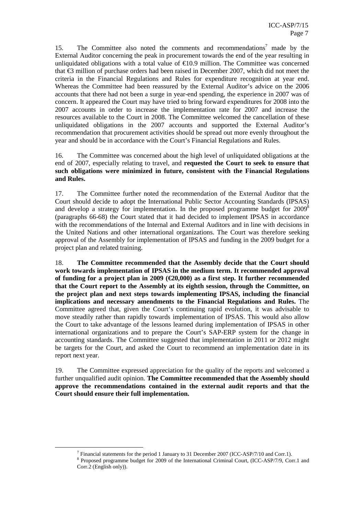15. The Committee also noted the comments and recommendations<sup>7</sup> made by the External Auditor concerning the peak in procurement towards the end of the year resulting in unliquidated obligations with a total value of  $\epsilon$ 109 million. The Committee was concerned that  $\epsilon$ 3 million of purchase orders had been raised in December 2007, which did not meet the criteria in the Financial Regulations and Rules for expenditure recognition at year end. Whereas the Committee had been reassured by the External Auditor's advice on the 2006 accounts that there had not been a surge in year-end spending, the experience in 2007 was of concern. It appeared the Court may have tried to bring forward expenditures for 2008 into the 2007 accounts in order to increase the implementation rate for 2007 and increase the resources available to the Court in 2008. The Committee welcomed the cancellation of these unliquidated obligations in the 2007 accounts and supported the External Auditor's recommendation that procurement activities should be spread out more evenly throughout the year and should be in accordance with the Court's Financial Regulations and Rules.

16. The Committee was concerned about the high level of unliquidated obligations at the end of 2007, especially relating to travel, and **requested the Court to seek to ensure that such obligations were minimized in future, consistent with the Financial Regulations and Rules.**

17. The Committee further noted the recommendation of the External Auditor that the Court should decide to adopt the International Public Sector Accounting Standards (IPSAS) and develop a strategy for implementation. In the proposed programme budget for 2009<sup>8</sup> (paragraphs 66-68) the Court stated that it had decided to implement IPSAS in accordance with the recommendations of the Internal and External Auditors and in line with decisions in the United Nations and other international organizations. The Court was therefore seeking approval of the Assembly for implementation of IPSAS and funding in the 2009 budget for a project plan and related training.

18. **The Committee recommended that the Assembly decide that the Court should work towards implementation of IPSAS in the medium term. It recommended approval of funding for a project plan in 2009 (€20,000) as a first step. It further recommended that the Court report to the Assembly at its eighth session, through the Committee, on the project plan and next steps towards implementing IPSAS, including the financial implications and necessary amendments to the Financial Regulations and Rules.** The Committee agreed that, given the Court's continuing rapid evolution, it was advisable to move steadily rather than rapidly towards implementation of IPSAS. This would also allow the Court to take advantage of the lessons learned during implementation of IPSAS in other international organizations and to prepare the Court's SAP-ERP system for the change in accounting standards. The Committee suggested that implementation in 2011 or 2012 might be targets for the Court, and asked the Court to recommend an implementation date in its report next year.

19. The Committee expressed appreciation for the quality of the reports and welcomed a further unqualified audit opinion. **The Committee recommended that the Assembly should approve the recommendations contained in the external audit reports and that the Court should ensure their full implementation.** 

<sup>&</sup>lt;sup>7</sup> Financial statements for the period 1 January to 31 December 2007 (ICC-ASP/7/10 and Corr.1).

<sup>&</sup>lt;sup>8</sup> Proposed programme budget for 2009 of the International Criminal Court, (ICC-ASP/7/9, Corr.1 and Corr.2 (English only)).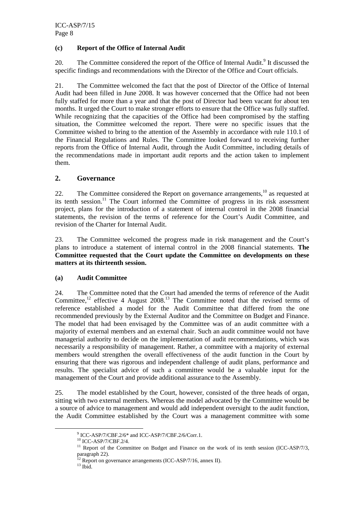#### **(c) Report of the Office of Internal Audit**

20. The Committee considered the report of the Office of Internal Audit.<sup>9</sup> It discussed the specific findings and recommendations with the Director of the Office and Court officials.

21. The Committee welcomed the fact that the post of Director of the Office of Internal Audit had been filled in June 2008. It was however concerned that the Office had not been fully staffed for more than a year and that the post of Director had been vacant for about ten months. It urged the Court to make stronger efforts to ensure that the Office was fully staffed. While recognizing that the capacities of the Office had been compromised by the staffing situation, the Committee welcomed the report. There were no specific issues that the Committee wished to bring to the attention of the Assembly in accordance with rule 110.1 of the Financial Regulations and Rules. The Committee looked forward to receiving further reports from the Office of Internal Audit, through the Audit Committee, including details of the recommendations made in important audit reports and the action taken to implement them.

#### **2. Governance**

22. The Committee considered the Report on governance arrangements, $10$  as requested at its tenth session.<sup>11</sup> The Court informed the Committee of progress in its risk assessment project, plans for the introduction of a statement of internal control in the 2008 financial statements, the revision of the terms of reference for the Court's Audit Committee, and revision of the Charter for Internal Audit.

23. The Committee welcomed the progress made in risk management and the Court's plans to introduce a statement of internal control in the 2008 financial statements. **The Committee requested that the Court update the Committee on developments on these matters at its thirteenth session.** 

#### **(a) Audit Committee**

24. The Committee noted that the Court had amended the terms of reference of the Audit Committee,<sup>12</sup> effective 4 August 2008.<sup>13</sup> The Committee noted that the revised terms of reference established a model for the Audit Committee that differed from the one recommended previously by the External Auditor and the Committee on Budget and Finance. The model that had been envisaged by the Committee was of an audit committee with a majority of external members and an external chair. Such an audit committee would not have managerial authority to decide on the implementation of audit recommendations, which was necessarily a responsibility of management. Rather, a committee with a majority of external members would strengthen the overall effectiveness of the audit function in the Court by ensuring that there was rigorous and independent challenge of audit plans, performance and results. The specialist advice of such a committee would be a valuable input for the management of the Court and provide additional assurance to the Assembly.

25. The model established by the Court, however, consisted of the three heads of organ, sitting with two external members. Whereas the model advocated by the Committee would be a source of advice to management and would add independent oversight to the audit function, the Audit Committee established by the Court was a management committee with some

 $^{9}$  ICC-ASP/7/CBF.2/6 $*$  and ICC-ASP/7/CBF.2/6/Corr.1.

<sup>10</sup> ICC-ASP/7/CBF.2/4.

<sup>&</sup>lt;sup>11</sup> Report of the Committee on Budget and Finance on the work of its tenth session (ICC-ASP/7/3, paragraph 22).

 $12$  Report on governance arrangements (ICC-ASP/7/16, annex II).

 $^{13}$  Ibid.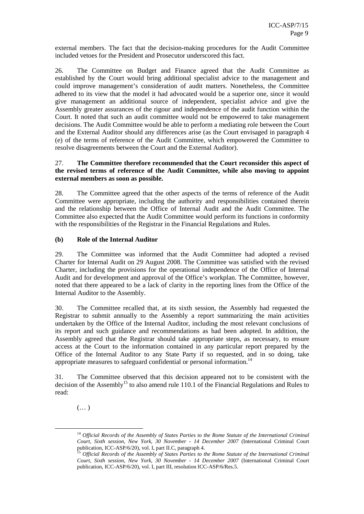external members. The fact that the decision-making procedures for the Audit Committee included vetoes for the President and Prosecutor underscored this fact.

26. The Committee on Budget and Finance agreed that the Audit Committee as established by the Court would bring additional specialist advice to the management and could improve management's consideration of audit matters. Nonetheless, the Committee adhered to its view that the model it had advocated would be a superior one, since it would give management an additional source of independent, specialist advice and give the Assembly greater assurances of the rigour and independence of the audit function within the Court. It noted that such an audit committee would not be empowered to take management decisions. The Audit Committee would be able to perform a mediating role between the Court and the External Auditor should any differences arise (as the Court envisaged in paragraph 4 (e) of the terms of reference of the Audit Committee, which empowered the Committee to resolve disagreements between the Court and the External Auditor).

#### 27. **The Committee therefore recommended that the Court reconsider this aspect of the revised terms of reference of the Audit Committee, while also moving to appoint external members as soon as possible.**

28. The Committee agreed that the other aspects of the terms of reference of the Audit Committee were appropriate, including the authority and responsibilities contained therein and the relationship between the Office of Internal Audit and the Audit Committee. The Committee also expected that the Audit Committee would perform its functions in conformity with the responsibilities of the Registrar in the Financial Regulations and Rules.

#### **(b) Role of the Internal Auditor**

29. The Committee was informed that the Audit Committee had adopted a revised Charter for Internal Audit on 29 August 2008. The Committee was satisfied with the revised Charter, including the provisions for the operational independence of the Office of Internal Audit and for development and approval of the Office's workplan. The Committee, however, noted that there appeared to be a lack of clarity in the reporting lines from the Office of the Internal Auditor to the Assembly.

30. The Committee recalled that, at its sixth session, the Assembly had requested the Registrar to submit annually to the Assembly a report summarizing the main activities undertaken by the Office of the Internal Auditor, including the most relevant conclusions of its report and such guidance and recommendations as had been adopted. In addition, the Assembly agreed that the Registrar should take appropriate steps, as necessary, to ensure access at the Court to the information contained in any particular report prepared by the Office of the Internal Auditor to any State Party if so requested, and in so doing, take appropriate measures to safeguard confidential or personal information.<sup>14</sup>

31. The Committee observed that this decision appeared not to be consistent with the decision of the Assembly<sup>15</sup> to also amend rule 110.1 of the Financial Regulations and Rules to read:

 $(\dots)$ 

<sup>14</sup> *Official Records of the Assembly of States Parties to the Rome Statute of the International Criminal Court, Sixth session, New York, 30 November - 14 December 2007* (International Criminal Court publication, ICC-ASP/6/20), vol. I, part II.C, paragraph 4.

<sup>&</sup>lt;sup>15</sup> Official Records of the Assembly of States Parties to the Rome Statute of the International Criminal *Court, Sixth session, New York, 30 November - 14 December 2007* (International Criminal Court publication, ICC-ASP/6/20), vol. I, part III, resolution ICC-ASP/6/Res.5.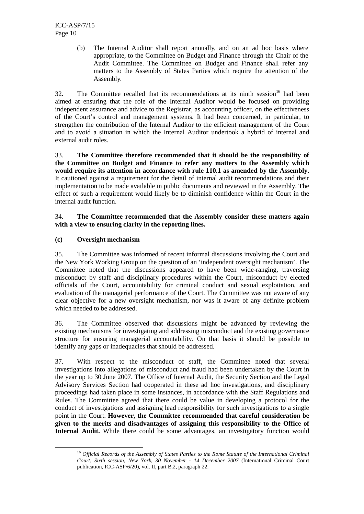(b) The Internal Auditor shall report annually, and on an ad hoc basis where appropriate, to the Committee on Budget and Finance through the Chair of the Audit Committee. The Committee on Budget and Finance shall refer any matters to the Assembly of States Parties which require the attention of the Assembly.

32. The Committee recalled that its recommendations at its ninth session<sup>16</sup> had been aimed at ensuring that the role of the Internal Auditor would be focused on providing independent assurance and advice to the Registrar, as accounting officer, on the effectiveness of the Court's control and management systems. It had been concerned, in particular, to strengthen the contribution of the Internal Auditor to the efficient management of the Court and to avoid a situation in which the Internal Auditor undertook a hybrid of internal and external audit roles.

33. **The Committee therefore recommended that it should be the responsibility of the Committee on Budget and Finance to refer any matters to the Assembly which would require its attention in accordance with rule 110.1 as amended by the Assembly**. It cautioned against a requirement for the detail of internal audit recommendations and their implementation to be made available in public documents and reviewed in the Assembly. The effect of such a requirement would likely be to diminish confidence within the Court in the internal audit function.

#### 34. **The Committee recommended that the Assembly consider these matters again with a view to ensuring clarity in the reporting lines.**

#### **(c) Oversight mechanism**

 $\overline{a}$ 

35. The Committee was informed of recent informal discussions involving the Court and the New York Working Group on the question of an 'independent oversight mechanism'. The Committee noted that the discussions appeared to have been wide-ranging, traversing misconduct by staff and disciplinary procedures within the Court, misconduct by elected officials of the Court, accountability for criminal conduct and sexual exploitation, and evaluation of the managerial performance of the Court. The Committee was not aware of any clear objective for a new oversight mechanism, nor was it aware of any definite problem which needed to be addressed.

36. The Committee observed that discussions might be advanced by reviewing the existing mechanisms for investigating and addressing misconduct and the existing governance structure for ensuring managerial accountability. On that basis it should be possible to identify any gaps or inadequacies that should be addressed.

37. With respect to the misconduct of staff, the Committee noted that several investigations into allegations of misconduct and fraud had been undertaken by the Court in the year up to 30 June 2007. The Office of Internal Audit, the Security Section and the Legal Advisory Services Section had cooperated in these ad hoc investigations, and disciplinary proceedings had taken place in some instances, in accordance with the Staff Regulations and Rules. The Committee agreed that there could be value in developing a protocol for the conduct of investigations and assigning lead responsibility for such investigations to a single point in the Court. **However, the Committee recommended that careful consideration be given to the merits and disadvantages of assigning this responsibility to the Office of Internal Audit.** While there could be some advantages, an investigatory function would

<sup>16</sup> *Official Records of the Assembly of States Parties to the Rome Statute of the International Criminal Court, Sixth session, New York, 30 November - 14 December 2007* (International Criminal Court publication, ICC-ASP/6/20), vol. II, part B.2, paragraph 22.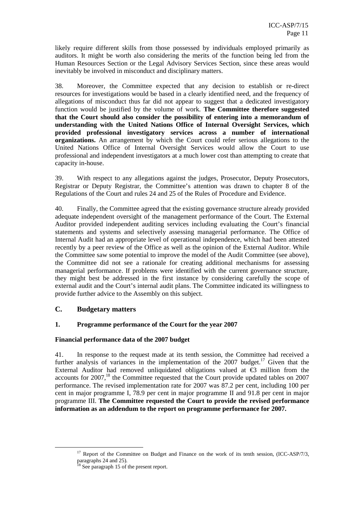likely require different skills from those possessed by individuals employed primarily as auditors. It might be worth also considering the merits of the function being led from the Human Resources Section or the Legal Advisory Services Section, since these areas would inevitably be involved in misconduct and disciplinary matters.

38. Moreover, the Committee expected that any decision to establish or re-direct resources for investigations would be based in a clearly identified need, and the frequency of allegations of misconduct thus far did not appear to suggest that a dedicated investigatory function would be justified by the volume of work. **The Committee therefore suggested that the Court should also consider the possibility of entering into a memorandum of understanding with the United Nations Office of Internal Oversight Services, which provided professional investigatory services across a number of international organizations.** An arrangement by which the Court could refer serious allegations to the United Nations Office of Internal Oversight Services would allow the Court to use professional and independent investigators at a much lower cost than attempting to create that capacity in-house.

39. With respect to any allegations against the judges, Prosecutor, Deputy Prosecutors, Registrar or Deputy Registrar, the Committee's attention was drawn to chapter 8 of the Regulations of the Court and rules 24 and 25 of the Rules of Procedure and Evidence.

40. Finally, the Committee agreed that the existing governance structure already provided adequate independent oversight of the management performance of the Court. The External Auditor provided independent auditing services including evaluating the Court's financial statements and systems and selectively assessing managerial performance. The Office of Internal Audit had an appropriate level of operational independence, which had been attested recently by a peer review of the Office as well as the opinion of the External Auditor. While the Committee saw some potential to improve the model of the Audit Committee (see above), the Committee did not see a rationale for creating additional mechanisms for assessing managerial performance. If problems were identified with the current governance structure, they might best be addressed in the first instance by considering carefully the scope of external audit and the Court's internal audit plans. The Committee indicated its willingness to provide further advice to the Assembly on this subject.

#### **C. Budgetary matters**

 $\overline{a}$ 

#### **1. Programme performance of the Court for the year 2007**

#### **Financial performance data of the 2007 budget**

41. In response to the request made at its tenth session, the Committee had received a further analysis of variances in the implementation of the  $2007$  budget.<sup>17</sup> Given that the External Auditor had removed unliquidated obligations valued at  $\epsilon$ 3 million from the accounts for 2007,<sup>18</sup> the Committee requested that the Court provide updated tables on 2007 performance. The revised implementation rate for 2007 was 87.2 per cent, including 100 per cent in major programme I, 78.9 per cent in major programme II and 91.8 per cent in major programme III. **The Committee requested the Court to provide the revised performance information as an addendum to the report on programme performance for 2007.** 

<sup>&</sup>lt;sup>17</sup> Report of the Committee on Budget and Finance on the work of its tenth session,  $(ICC-ASP/7/3,$ paragraphs 24 and 25).

<sup>&</sup>lt;sup>18</sup> See paragraph 15 of the present report.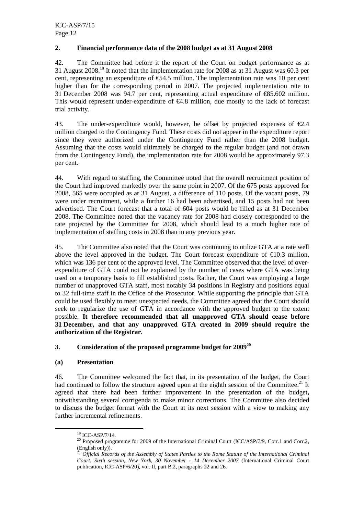#### **2. Financial performance data of the 2008 budget as at 31 August 2008**

42. The Committee had before it the report of the Court on budget performance as at 31 August 2008.<sup>19</sup> It noted that the implementation rate for 2008 as at 31 August was 60.3 per cent, representing an expenditure of  $\epsilon$ 54.5 million. The implementation rate was 10 per cent higher than for the corresponding period in 2007. The projected implementation rate to 31 December 2008 was 94.7 per cent, representing actual expenditure of  $\epsilon$ 85.602 million. This would represent under-expenditure of  $\epsilon 4.8$  million, due mostly to the lack of forecast trial activity.

43. The under-expenditure would, however, be offset by projected expenses of  $\epsilon$ 2.4 million charged to the Contingency Fund. These costs did not appear in the expenditure report since they were authorized under the Contingency Fund rather than the 2008 budget. Assuming that the costs would ultimately be charged to the regular budget (and not drawn from the Contingency Fund), the implementation rate for 2008 would be approximately 97.3 per cent.

44. With regard to staffing, the Committee noted that the overall recruitment position of the Court had improved markedly over the same point in 2007. Of the 675 posts approved for 2008, 565 were occupied as at 31 August, a difference of 110 posts. Of the vacant posts, 79 were under recruitment, while a further 16 had been advertised, and 15 posts had not been advertised. The Court forecast that a total of 604 posts would be filled as at 31 December 2008. The Committee noted that the vacancy rate for 2008 had closely corresponded to the rate projected by the Committee for 2008, which should lead to a much higher rate of implementation of staffing costs in 2008 than in any previous year.

45. The Committee also noted that the Court was continuing to utilize GTA at a rate well above the level approved in the budget. The Court forecast expenditure of  $\epsilon$ 10.3 million, which was 136 per cent of the approved level. The Committee observed that the level of overexpenditure of GTA could not be explained by the number of cases where GTA was being used on a temporary basis to fill established posts. Rather, the Court was employing a large number of unapproved GTA staff, most notably 34 positions in Registry and positions equal to 32 full-time staff in the Office of the Prosecutor. While supporting the principle that GTA could be used flexibly to meet unexpected needs, the Committee agreed that the Court should seek to regularize the use of GTA in accordance with the approved budget to the extent possible. **It therefore recommended that all unapproved GTA should cease before 31 December, and that any unapproved GTA created in 2009 should require the authorization of the Registrar.** 

#### **3. Consideration of the proposed programme budget for 2009<sup>20</sup>**

#### **(a) Presentation**

46. The Committee welcomed the fact that, in its presentation of the budget, the Court had continued to follow the structure agreed upon at the eighth session of the Committee.<sup>21</sup> It agreed that there had been further improvement in the presentation of the budget**,**  notwithstanding several corrigenda to make minor corrections. The Committee also decided to discuss the budget format with the Court at its next session with a view to making any further incremental refinements.

<sup>19</sup> ICC-ASP/7/14.

<sup>&</sup>lt;sup>20</sup> Proposed programme for 2009 of the International Criminal Court (ICC/ASP/7/9, Corr.1 and Corr.2, (English only)).

<sup>21</sup> *Official Records of the Assembly of States Parties to the Rome Statute of the International Criminal Court, Sixth session, New York, 30 November - 14 December 2007* (International Criminal Court publication, ICC-ASP/6/20), vol. II, part B.2, paragraphs 22 and 26.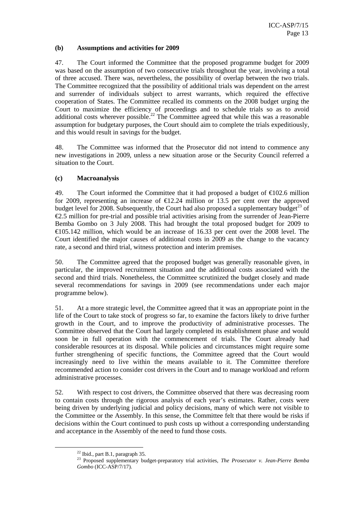#### **(b) Assumptions and activities for 2009**

47. The Court informed the Committee that the proposed programme budget for 2009 was based on the assumption of two consecutive trials throughout the year, involving a total of three accused. There was, nevertheless, the possibility of overlap between the two trials. The Committee recognized that the possibility of additional trials was dependent on the arrest and surrender of individuals subject to arrest warrants, which required the effective cooperation of States. The Committee recalled its comments on the 2008 budget urging the Court to maximize the efficiency of proceedings and to schedule trials so as to avoid additional costs wherever possible.<sup>22</sup> The Committee agreed that while this was a reasonable assumption for budgetary purposes, the Court should aim to complete the trials expeditiously, and this would result in savings for the budget.

48. The Committee was informed that the Prosecutor did not intend to commence any new investigations in 2009, unless a new situation arose or the Security Council referred a situation to the Court.

#### **(c) Macroanalysis**

49. The Court informed the Committee that it had proposed a budget of  $\epsilon$ 102.6 million for 2009, representing an increase of  $\epsilon$ 12.24 million or 13.5 per cent over the approved budget level for 2008. Subsequently, the Court had also proposed a supplementary budget<sup>23</sup> of €2.5 million for pre-trial and possible trial activities arising from the surrender of Jean-Pierre Bemba Gombo on 3 July 2008. This had brought the total proposed budget for 2009 to  $\epsilon$ 105.142 million, which would be an increase of 1633 per cent over the 2008 level. The Court identified the major causes of additional costs in 2009 as the change to the vacancy rate, a second and third trial, witness protection and interim premises.

50. The Committee agreed that the proposed budget was generally reasonable given, in particular, the improved recruitment situation and the additional costs associated with the second and third trials. Nonetheless, the Committee scrutinized the budget closely and made several recommendations for savings in 2009 (see recommendations under each major programme below).

51. At a more strategic level, the Committee agreed that it was an appropriate point in the life of the Court to take stock of progress so far, to examine the factors likely to drive further growth in the Court, and to improve the productivity of administrative processes. The Committee observed that the Court had largely completed its establishment phase and would soon be in full operation with the commencement of trials. The Court already had considerable resources at its disposal. While policies and circumstances might require some further strengthening of specific functions, the Committee agreed that the Court would increasingly need to live within the means available to it. The Committee therefore recommended action to consider cost drivers in the Court and to manage workload and reform administrative processes.

52. With respect to cost drivers, the Committee observed that there was decreasing room to contain costs through the rigorous analysis of each year's estimates. Rather, costs were being driven by underlying judicial and policy decisions, many of which were not visible to the Committee or the Assembly. In this sense, the Committee felt that there would be risks if decisions within the Court continued to push costs up without a corresponding understanding and acceptance in the Assembly of the need to fund those costs.

 $22$  Ibid., part B.1, paragraph 35.

<sup>23</sup> Proposed supplementary budget-preparatory trial activities, *The Prosecutor v. Jean-Pierre Bemba Gombo* (ICC-ASP/7/17).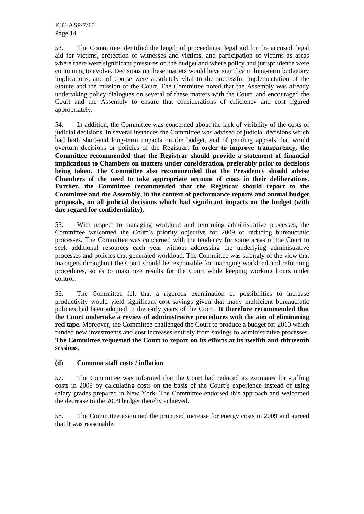ICC-ASP/7/15 Page 14

53. The Committee identified the length of proceedings, legal aid for the accused, legal aid for victims, protection of witnesses and victims, and participation of victims as areas where there were significant pressures on the budget and where policy and jurisprudence were continuing to evolve. Decisions on these matters would have significant, long-term budgetary implications, and of course were absolutely vital to the successful implementation of the Statute and the mission of the Court. The Committee noted that the Assembly was already undertaking policy dialogues on several of these matters with the Court, and encouraged the Court and the Assembly to ensure that considerations of efficiency and cost figured appropriately.

54. In addition, the Committee was concerned about the lack of visibility of the costs of judicial decisions. In several instances the Committee was advised of judicial decisions which had both short-and long-term impacts on the budget, and of pending appeals that would overturn decisions or policies of the Registrar. **In order to improve transparency, the Committee recommended that the Registrar should provide a statement of financial implications to Chambers on matters under consideration, preferably prior to decisions being taken. The Committee also recommended that the Presidency should advise Chambers of the need to take appropriate account of costs in their deliberations. Further, the Committee recommended that the Registrar should report to the Committee and the Assembly, in the context of performance reports and annual budget proposals, on all judicial decisions which had significant impacts on the budget (with due regard for confidentiality).** 

55. With respect to managing workload and reforming administrative processes, the Committee welcomed the Court's priority objective for 2009 of reducing bureaucratic processes. The Committee was concerned with the tendency for some areas of the Court to seek additional resources each year without addressing the underlying administrative processes and policies that generated workload. The Committee was strongly of the view that managers throughout the Court should be responsible for managing workload and reforming procedures, so as to maximize results for the Court while keeping working hours under control.

56. The Committee felt that a rigorous examination of possibilities to increase productivity would yield significant cost savings given that many inefficient bureaucratic policies had been adopted in the early years of the Court. **It therefore recommended that the Court undertake a review of administrative procedures with the aim of eliminating red tape**. Moreover, the Committee challenged the Court to produce a budget for 2010 which funded new investments and cost increases entirely from savings to administrative processes. **The Committee requested the Court to report on its efforts at its twelfth and thirteenth sessions.** 

#### **(d) Common staff costs / inflation**

57. The Committee was informed that the Court had reduced its estimates for staffing costs in 2009 by calculating costs on the basis of the Court's experience instead of using salary grades prepared in New York. The Committee endorsed this approach and welcomed the decrease to the 2009 budget thereby achieved.

58. The Committee examined the proposed increase for energy costs in 2009 and agreed that it was reasonable.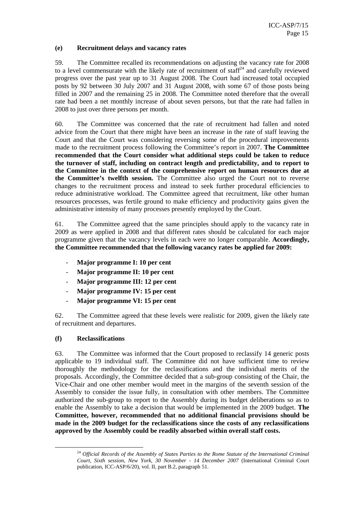#### **(e) Recruitment delays and vacancy rates**

59. The Committee recalled its recommendations on adjusting the vacancy rate for 2008 to a level commensurate with the likely rate of recruitment of staff<sup> $24$ </sup> and carefully reviewed progress over the past year up to 31 August 2008. The Court had increased total occupied posts by 92 between 30 July 2007 and 31 August 2008, with some 67 of those posts being filled in 2007 and the remaining 25 in 2008. The Committee noted therefore that the overall rate had been a net monthly increase of about seven persons, but that the rate had fallen in 2008 to just over three persons per month.

60. The Committee was concerned that the rate of recruitment had fallen and noted advice from the Court that there might have been an increase in the rate of staff leaving the Court and that the Court was considering reversing some of the procedural improvements made to the recruitment process following the Committee's report in 2007. **The Committee recommended that the Court consider what additional steps could be taken to reduce the turnover of staff, including on contract length and predictability, and to report to the Committee in the context of the comprehensive report on human resources due at the Committee's twelfth session.** The Committee also urged the Court not to reverse changes to the recruitment process and instead to seek further procedural efficiencies to reduce administrative workload. The Committee agreed that recruitment, like other human resources processes, was fertile ground to make efficiency and productivity gains given the administrative intensity of many processes presently employed by the Court.

61. The Committee agreed that the same principles should apply to the vacancy rate in 2009 as were applied in 2008 and that different rates should be calculated for each major programme given that the vacancy levels in each were no longer comparable. **Accordingly, the Committee recommended that the following vacancy rates be applied for 2009:** 

- **Major programme I: 10 per cent**
- **Major programme II: 10 per cent**
- **Major programme III: 12 per cent**
- **Major programme IV: 15 per cent**
- **Major programme VI: 15 per cent**

62. The Committee agreed that these levels were realistic for 2009, given the likely rate of recruitment and departures.

#### **(f) Reclassifications**

 $\overline{a}$ 

63. The Committee was informed that the Court proposed to reclassify 14 generic posts applicable to 19 individual staff. The Committee did not have sufficient time to review thoroughly the methodology for the reclassifications and the individual merits of the proposals. Accordingly, the Committee decided that a sub-group consisting of the Chair, the Vice-Chair and one other member would meet in the margins of the seventh session of the Assembly to consider the issue fully, in consultation with other members. The Committee authorized the sub-group to report to the Assembly during its budget deliberations so as to enable the Assembly to take a decision that would be implemented in the 2009 budget. **The Committee, however, recommended that no additional financial provisions should be made in the 2009 budget for the reclassifications since the costs of any reclassifications approved by the Assembly could be readily absorbed within overall staff costs.** 

<sup>24</sup> *Official Records of the Assembly of States Parties to the Rome Statute of the International Criminal Court, Sixth session, New York, 30 November - 14 December 2007* (International Criminal Court publication, ICC-ASP/6/20), vol. II, part B.2, paragraph 51.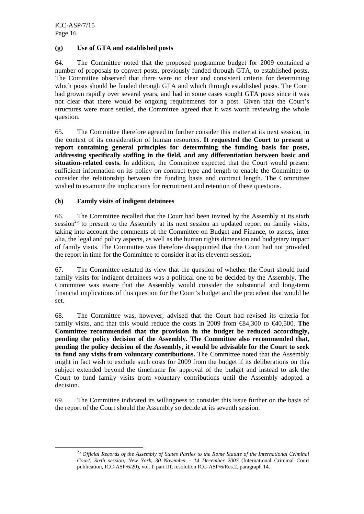ICC-ASP/7/15 Page 16

 $\overline{a}$ 

#### **(g) Use of GTA and established posts**

64. The Committee noted that the proposed programme budget for 2009 contained a number of proposals to convert posts, previously funded through GTA, to established posts. The Committee observed that there were no clear and consistent criteria for determining which posts should be funded through GTA and which through established posts. The Court had grown rapidly over several years, and had in some cases sought GTA posts since it was not clear that there would be ongoing requirements for a post. Given that the Court's structures were more settled, the Committee agreed that it was worth reviewing the whole question.

65. The Committee therefore agreed to further consider this matter at its next session, in the context of its consideration of human resources. **It requested the Court to present a report containing general principles for determining the funding basis for posts, addressing specifically staffing in the field, and any differentiation between basic and situation-related costs.** In addition, the Committee expected that the Court would present sufficient information on its policy on contract type and length to enable the Committee to consider the relationship between the funding basis and contract length. The Committee wished to examine the implications for recruitment and retention of these questions.

#### **(h) Family visits of indigent detainees**

66. The Committee recalled that the Court had been invited by the Assembly at its sixth session<sup>25</sup> to present to the Assembly at its next session an updated report on family visits, taking into account the comments of the Committee on Budget and Finance, to assess, inter alia, the legal and policy aspects, as well as the human rights dimension and budgetary impact of family visits. The Committee was therefore disappointed that the Court had not provided the report in time for the Committee to consider it at its eleventh session.

67. The Committee restated its view that the question of whether the Court should fund family visits for indigent detainees was a political one to be decided by the Assembly. The Committee was aware that the Assembly would consider the substantial and long-term financial implications of this question for the Court's budget and the precedent that would be set.

68. The Committee was, however, advised that the Court had revised its criteria for family visits, and that this would reduce the costs in 2009 from  $\epsilon$ 84,300 to  $\epsilon$ 40,500. **The Committee recommended that the provision in the budget be reduced accordingly, pending the policy decision of the Assembly. The Committee also recommended that, pending the policy decision of the Assembly, it would be advisable for the Court to seek to fund any visits from voluntary contributions.** The Committee noted that the Assembly might in fact wish to exclude such costs for 2009 from the budget if its deliberations on this subject extended beyond the timeframe for approval of the budget and instead to ask the Court to fund family visits from voluntary contributions until the Assembly adopted a decision.

69. The Committee indicated its willingness to consider this issue further on the basis of the report of the Court should the Assembly so decide at its seventh session.

<sup>25</sup> *Official Records of the Assembly of States Parties to the Rome Statute of the International Criminal Court, Sixth session, New York, 30 November - 14 December 2007* (International Criminal Court publication, ICC-ASP/6/20), vol. I, part III, resolution ICC-ASP/6/Res.2, paragraph 14.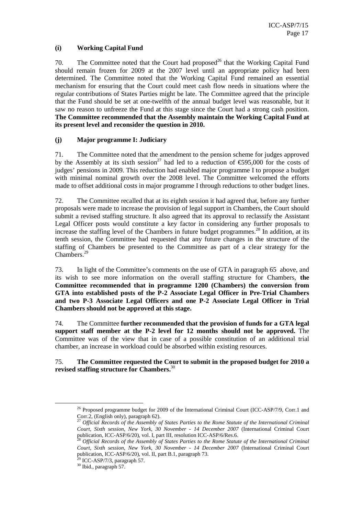#### **(i) Working Capital Fund**

70. The Committee noted that the Court had proposed<sup>26</sup> that the Working Capital Fund should remain frozen for 2009 at the 2007 level until an appropriate policy had been determined. The Committee noted that the Working Capital Fund remained an essential mechanism for ensuring that the Court could meet cash flow needs in situations where the regular contributions of States Parties might be late. The Committee agreed that the principle that the Fund should be set at one-twelfth of the annual budget level was reasonable, but it saw no reason to unfreeze the Fund at this stage since the Court had a strong cash position. **The Committee recommended that the Assembly maintain the Working Capital Fund at its present level and reconsider the question in 2010.** 

#### **(j) Major programme I: Judiciary**

71. The Committee noted that the amendment to the pension scheme for judges approved by the Assembly at its sixth session<sup>27</sup> had led to a reduction of  $\epsilon$ 595,000 for the costs of judges' pensions in 2009. This reduction had enabled major programme I to propose a budget with minimal nominal growth over the 2008 level. The Committee welcomed the efforts made to offset additional costs in major programme I through reductions to other budget lines.

72. The Committee recalled that at its eighth session it had agreed that, before any further proposals were made to increase the provision of legal support in Chambers, the Court should submit a revised staffing structure. It also agreed that its approval to reclassify the Assistant Legal Officer posts would constitute a key factor in considering any further proposals to increase the staffing level of the Chambers in future budget programmes.<sup>28</sup> In addition, at its tenth session, the Committee had requested that any future changes in the structure of the staffing of Chambers be presented to the Committee as part of a clear strategy for the Chambers.<sup>29</sup>

73. In light of the Committee's comments on the use of GTA in paragraph 65 above, and its wish to see more information on the overall staffing structure for Chambers, **the Committee recommended that in programme 1200 (Chambers) the conversion from GTA into established posts of the P-2 Associate Legal Officer in Pre-Trial Chambers and two P-3 Associate Legal Officers and one P-2 Associate Legal Officer in Trial Chambers should not be approved at this stage.** 

74. The Committee **further recommended that the provision of funds for a GTA legal support staff member at the P-2 level for 12 months should not be approved.** The Committee was of the view that in case of a possible constitution of an additional trial chamber, an increase in workload could be absorbed within existing resources.

#### 75. **The Committee requested the Court to submit in the proposed budget for 2010 a revised staffing structure for Chambers.**<sup>30</sup>

<sup>&</sup>lt;sup>26</sup> Proposed programme budget for 2009 of the International Criminal Court (ICC-ASP/7/9, Corr.1 and Corr.2, (English only), paragraph 62).

<sup>27</sup> *Official Records of the Assembly of States Parties to the Rome Statute of the International Criminal Court, Sixth session, New York, 30 November - 14 December 2007* (International Criminal Court publication, ICC-ASP/6/20), vol. I, part III, resolution ICC-ASP/6/Res.6.

<sup>28</sup> *Official Records of the Assembly of States Parties to the Rome Statute of the International Criminal Court, Sixth session, New York, 30 November - 14 December 2007* (International Criminal Court publication, ICC-ASP/6/20), vol. II, part B.1, paragraph 73.

 $29$  ICC-ASP/7/3, paragraph 57.

<sup>&</sup>lt;sup>30</sup> Ibid., paragraph 57.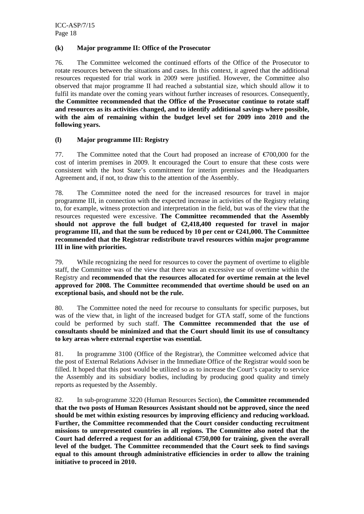#### **(k) Major programme II: Office of the Prosecutor**

76. The Committee welcomed the continued efforts of the Office of the Prosecutor to rotate resources between the situations and cases. In this context, it agreed that the additional resources requested for trial work in 2009 were justified. However, the Committee also observed that major programme II had reached a substantial size, which should allow it to fulfil its mandate over the coming years without further increases of resources. Consequently, **the Committee recommended that the Office of the Prosecutor continue to rotate staff and resources as its activities changed, and to identify additional savings where possible, with the aim of remaining within the budget level set for 2009 into 2010 and the following years.** 

#### **(l) Major programme III: Registry**

77. The Committee noted that the Court had proposed an increase of €700,000 for the cost of interim premises in 2009. It encouraged the Court to ensure that these costs were consistent with the host State's commitment for interim premises and the Headquarters Agreement and, if not, to draw this to the attention of the Assembly.

78. The Committee noted the need for the increased resources for travel in major programme III, in connection with the expected increase in activities of the Registry relating to, for example, witness protection and interpretation in the field, but was of the view that the resources requested were excessive. **The Committee recommended that the Assembly**  should not approve the full budget of  $\epsilon$ 2,418,400 requested for travel in major **programme III, and that the sum be reduced by 10 per cent or €241,000. The Committee recommended that the Registrar redistribute travel resources within major programme III in line with priorities.** 

79. While recognizing the need for resources to cover the payment of overtime to eligible staff, the Committee was of the view that there was an excessive use of overtime within the Registry and **recommended that the resources allocated for overtime remain at the level approved for 2008. The Committee recommended that overtime should be used on an exceptional basis, and should not be the rule.**

80. The Committee noted the need for recourse to consultants for specific purposes, but was of the view that, in light of the increased budget for GTA staff, some of the functions could be performed by such staff. **The Committee recommended that the use of consultants should be minimized and that the Court should limit its use of consultancy to key areas where external expertise was essential.** 

81. In programme 3100 (Office of the Registrar), the Committee welcomed advice that the post of External Relations Adviser in the Immediate Office of the Registrar would soon be filled. It hoped that this post would be utilized so as to increase the Court's capacity to service the Assembly and its subsidiary bodies, including by producing good quality and timely reports as requested by the Assembly.

82. In sub-programme 3220 (Human Resources Section), **the Committee recommended that the two posts of Human Resources Assistant should not be approved, since the need should be met within existing resources by improving efficiency and reducing workload. Further, the Committee recommended that the Court consider conducting recruitment missions to unrepresented countries in all regions. The Committee also noted that the Court had deferred a request for an additional €750,000 for training, given the overall level of the budget. The Committee recommended that the Court seek to find savings equal to this amount through administrative efficiencies in order to allow the training initiative to proceed in 2010.**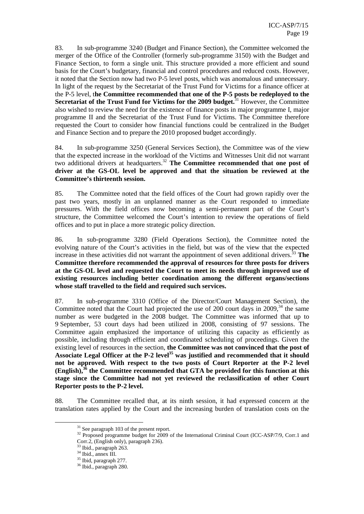83. In sub-programme 3240 (Budget and Finance Section), the Committee welcomed the merger of the Office of the Controller (formerly sub-programme 3150) with the Budget and Finance Section, to form a single unit. This structure provided a more efficient and sound basis for the Court's budgetary, financial and control procedures and reduced costs. However, it noted that the Section now had two P-5 level posts, which was anomalous and unnecessary. In light of the request by the Secretariat of the Trust Fund for Victims for a finance officer at the P-5 level, t**he Committee recommended that one of the P-5 posts be redeployed to the Secretariat of the Trust Fund for Victims for the 2009 budget.**<sup>31</sup> However, the Committee also wished to review the need for the existence of finance posts in major programme I, major programme II and the Secretariat of the Trust Fund for Victims. The Committee therefore requested the Court to consider how financial functions could be centralized in the Budget and Finance Section and to prepare the 2010 proposed budget accordingly.

84. In sub-programme 3250 (General Services Section), the Committee was of the view that the expected increase in the workload of the Victims and Witnesses Unit did not warrant two additional drivers at headquarters.<sup>32</sup> The Committee recommended that one post of **driver at the GS-OL level be approved and that the situation be reviewed at the Committee's thirteenth session.** 

85. The Committee noted that the field offices of the Court had grown rapidly over the past two years, mostly in an unplanned manner as the Court responded to immediate pressures. With the field offices now becoming a semi-permanent part of the Court's structure, the Committee welcomed the Court's intention to review the operations of field offices and to put in place a more strategic policy direction.

86. In sub-programme 3280 (Field Operations Section), the Committee noted the evolving nature of the Court's activities in the field, but was of the view that the expected increase in these activities did not warrant the appointment of seven additional drivers.<sup>33</sup> The **Committee therefore recommended the approval of resources for three posts for drivers at the GS-OL level and requested the Court to meet its needs through improved use of existing resources including better coordination among the different organs/sections whose staff travelled to the field and required such services.** 

87. In sub-programme 3310 (Office of the Director/Court Management Section), the Committee noted that the Court had projected the use of 200 court days in 2009,  $34$  the same number as were budgeted in the 2008 budget. The Committee was informed that up to 9 September, 53 court days had been utilized in 2008, consisting of 97 sessions. The Committee again emphasized the importance of utilizing this capacity as efficiently as possible, including through efficient and coordinated scheduling of proceedings. Given the existing level of resources in the section, **the Committee was not convinced that the post of Associate Legal Officer at the P-2 level<sup>35</sup> was justified and recommended that it should not be approved. With respect to the two posts of Court Reporter at the P-2 level (English),<sup>36</sup> the Committee recommended that GTA be provided for this function at this stage since the Committee had not yet reviewed the reclassification of other Court Reporter posts to the P-2 level.** 

88. The Committee recalled that, at its ninth session, it had expressed concern at the translation rates applied by the Court and the increasing burden of translation costs on the

<sup>&</sup>lt;sup>31</sup> See paragraph 103 of the present report.

<sup>&</sup>lt;sup>32</sup> Proposed programme budget for 2009 of the International Criminal Court (ICC-ASP/7/9, Corr.1 and Corr.2, (English only), paragraph 236).

<sup>33</sup> Ibid., paragraph 263.

<sup>34</sup> Ibid., annex III.

<sup>35</sup> Ibid, paragraph 277.

<sup>36</sup> Ibid., paragraph 280.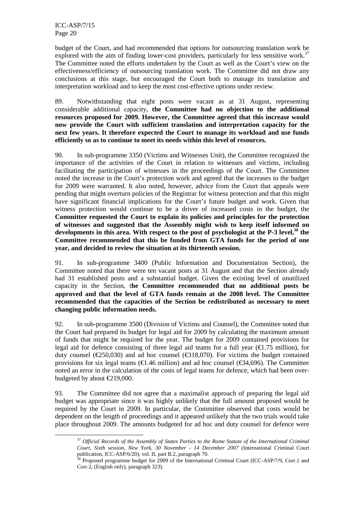$\overline{a}$ 

budget of the Court, and had recommended that options for outsourcing translation work be explored with the aim of finding lower-cost providers, particularly for less sensitive work.<sup>37</sup> The Committee noted the efforts undertaken by the Court as well as the Court's view on the effectiveness/efficiency of outsourcing translation work. The Committee did not draw any conclusions at this stage, but encouraged the Court both to manage its translation and interpretation workload and to keep the most cost-effective options under review.

89. Notwithstanding that eight posts were vacant as at 31 August, representing considerable additional capacity, **the Committee had no objection to the additional resources proposed for 2009. However, the Committee agreed that this increase would now provide the Court with sufficient translation and interpretation capacity for the next few years. It therefore expected the Court to manage its workload and use funds efficiently so as to continue to meet its needs within this level of resources.** 

90. In sub-programme 3350 (Victims and Witnesses Unit), the Committee recognized the importance of the activities of the Court in relation to witnesses and victims, including facilitating the participation of witnesses in the proceedings of the Court. The Committee noted the increase in the Court's protection work and agreed that the increases to the budget for 2009 were warranted. It also noted, however, advice from the Court that appeals were pending that might overturn policies of the Registrar for witness protection and that this might have significant financial implications for the Court's future budget and work. Given that witness protection would continue to be a driver of increased costs in the budget, the **Committee requested the Court to explain its policies and principles for the protection of witnesses and suggested that the Assembly might wish to keep itself informed on developments in this area. With respect to the post of psychologist at the P-3 level,<sup>38</sup> the Committee recommended that this be funded from GTA funds for the period of one year, and decided to review the situation at its thirteenth session.** 

91. In sub-programme 3400 (Public Information and Documentation Section), the Committee noted that there were ten vacant posts at 31 August and that the Section already had 31 established posts and a substantial budget. Given the existing level of unutilized capacity in the Section, t**he Committee recommended that no additional posts be approved and that the level of GTA funds remain at the 2008 level. The Committee recommended that the capacities of the Section be redistributed as necessary to meet changing public information needs.** 

92. In sub-programme 3500 (Division of Victims and Counsel), the Committee noted that the Court had prepared its budget for legal aid for 2009 by calculating the maximum amount of funds that might be required for the year. The budget for 2009 contained provisions for legal aid for defence consisting of three legal aid teams for a full year ( $\epsilon$ 1.75 million), for duty counsel ( $\epsilon$ 250,030) and ad hoc counsel ( $\epsilon$ 318,00). For victims the budget contained provisions for six legal teams ( $\in$ 1.46 million) and ad hoc counsel ( $\in$ 34,696). The Committee noted an error in the calculation of the costs of legal teams for defence, which had been overbudgeted by about €219,000.

93. The Committee did not agree that a maximalist approach of preparing the legal aid budget was appropriate since it was highly unlikely that the full amount proposed would be required by the Court in 2009. In particular, the Committee observed that costs would be dependent on the length of proceedings and it appeared unlikely that the two trials would take place throughout 2009. The amounts budgeted for ad hoc and duty counsel for defence were

<sup>37</sup> *Official Records of the Assembly of States Parties to the Rome Statute of the International Criminal Court, Sixth session, New York, 30 November - 14 December 2007* (International Criminal Court publication, ICC-ASP/6/20), vol. II, part B.2, paragraph 70.

<sup>&</sup>lt;sup>38</sup> Proposed programme budget for 2009 of the International Criminal Court (ICC-ASP/7/9, Corr.1 and Corr.2, (English only), paragraph 323).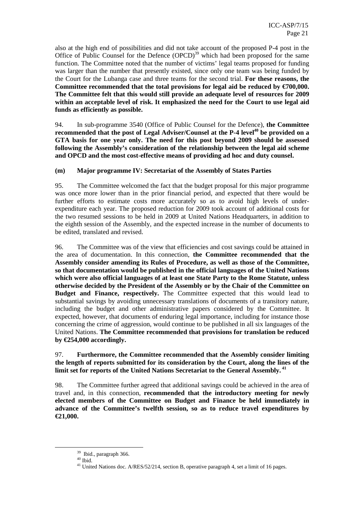also at the high end of possibilities and did not take account of the proposed P-4 post in the Office of Public Counsel for the Defence  $(OPCD)^{39}$  which had been proposed for the same function. The Committee noted that the number of victims' legal teams proposed for funding was larger than the number that presently existed, since only one team was being funded by the Court for the Lubanga case and three teams for the second trial. **For these reasons, the Committee recommended that the total provisions for legal aid be reduced by €700,000. The Committee felt that this would still provide an adequate level of resources for 2009 within an acceptable level of risk. It emphasized the need for the Court to use legal aid funds as efficiently as possible.** 

94. In sub-programme 3540 (Office of Public Counsel for the Defence), **the Committee recommended that the post of Legal Adviser/Counsel at the P-4 level<sup>40</sup> be provided on a GTA basis for one year only. The need for this post beyond 2009 should be assessed following the Assembly's consideration of the relationship between the legal aid scheme and OPCD and the most cost-effective means of providing ad hoc and duty counsel.** 

#### **(m) Major programme IV: Secretariat of the Assembly of States Parties**

95. The Committee welcomed the fact that the budget proposal for this major programme was once more lower than in the prior financial period, and expected that there would be further efforts to estimate costs more accurately so as to avoid high levels of underexpenditure each year. The proposed reduction for 2009 took account of additional costs for the two resumed sessions to be held in 2009 at United Nations Headquarters, in addition to the eighth session of the Assembly, and the expected increase in the number of documents to be edited, translated and revised.

96. The Committee was of the view that efficiencies and cost savings could be attained in the area of documentation. In this connection, **the Committee recommended that the Assembly consider amending its Rules of Procedure, as well as those of the Committee, so that documentation would be published in the official languages of the United Nations which were also official languages of at least one State Party to the Rome Statute, unless otherwise decided by the President of the Assembly or by the Chair of the Committee on Budget and Finance, respectively.** The Committee expected that this would lead to substantial savings by avoiding unnecessary translations of documents of a transitory nature, including the budget and other administrative papers considered by the Committee. It expected, however, that documents of enduring legal importance, including for instance those concerning the crime of aggression, would continue to be published in all six languages of the United Nations. **The Committee recommended that provisions for translation be reduced by €254,000 accordingly.**

97. **Furthermore, the Committee recommended that the Assembly consider limiting the length of reports submitted for its consideration by the Court, along the lines of the limit set for reports of the United Nations Secretariat to the General Assembly.<sup>41</sup>**

98. The Committee further agreed that additional savings could be achieved in the area of travel and, in this connection, **recommended that the introductory meeting for newly elected members of the Committee on Budget and Finance be held immediately in advance of the Committee's twelfth session, so as to reduce travel expenditures by €21,000.**

<sup>&</sup>lt;sup>39</sup> Ibid., paragraph 366.

 $^{\rm 40}$  Ibid.

<sup>&</sup>lt;sup>41</sup> United Nations doc. A/RES/52/214, section B, operative paragraph 4, set a limit of 16 pages.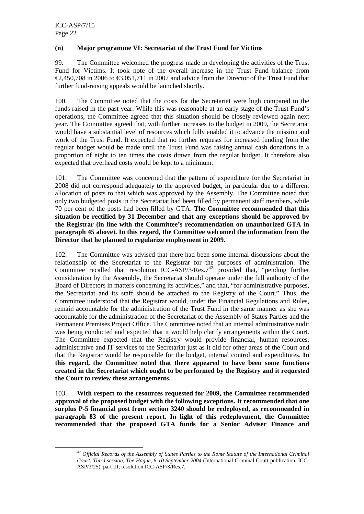$\overline{a}$ 

#### **(n) Major programme VI: Secretariat of the Trust Fund for Victims**

99. The Committee welcomed the progress made in developing the activities of the Trust Fund for Victims. It took note of the overall increase in the Trust Fund balance from  $\epsilon$ 2,450,708 in 2006 to  $\epsilon$ 3,051,711 in 2007 and advice from the Director of the Trust Fund that further fund-raising appeals would be launched shortly.

100. The Committee noted that the costs for the Secretariat were high compared to the funds raised in the past year. While this was reasonable at an early stage of the Trust Fund's operations, the Committee agreed that this situation should be closely reviewed again next year. The Committee agreed that, with further increases to the budget in 2009, the Secretariat would have a substantial level of resources which fully enabled it to advance the mission and work of the Trust Fund. It expected that no further requests for increased funding from the regular budget would be made until the Trust Fund was raising annual cash donations in a proportion of eight to ten times the costs drawn from the regular budget. It therefore also expected that overhead costs would be kept to a minimum.

101. The Committee was concerned that the pattern of expenditure for the Secretariat in 2008 did not correspond adequately to the approved budget, in particular due to a different allocation of posts to that which was approved by the Assembly. The Committee noted that only two budgeted posts in the Secretariat had been filled by permanent staff members, while 70 per cent of the posts had been filled by GTA. **The Committee recommended that this situation be rectified by 31 December and that any exceptions should be approved by the Registrar (in line with the Committee's recommendation on unauthorized GTA in paragraph 45 above). In this regard, the Committee welcomed the information from the Director that he planned to regularize employment in 2009.** 

102. The Committee was advised that there had been some internal discussions about the relationship of the Secretariat to the Registrar for the purposes of administration. The Committee recalled that resolution ICC-ASP/3/Res. $7^{42}$  provided that, "pending further consideration by the Assembly, the Secretariat should operate under the full authority of the Board of Directors in matters concerning its activities," and that, "for administrative purposes, the Secretariat and its staff should be attached to the Registry of the Court." Thus, the Committee understood that the Registrar would, under the Financial Regulations and Rules, remain accountable for the administration of the Trust Fund in the same manner as she was accountable for the administration of the Secretariat of the Assembly of States Parties and the Permanent Premises Project Office. The Committee noted that an internal administrative audit was being conducted and expected that it would help clarify arrangements within the Court. The Committee expected that the Registry would provide financial, human resources, administrative and IT services to the Secretariat just as it did for other areas of the Court and that the Registrar would be responsible for the budget, internal control and expenditures. **In this regard, the Committee noted that there appeared to have been some functions created in the Secretariat which ought to be performed by the Registry and it requested the Court to review these arrangements.** 

103. **With respect to the resources requested for 2009, the Committee recommended approval of the proposed budget with the following exceptions. It recommended that one surplus P-5 financial post from section 3240 should be redeployed, as recommended in paragraph 83 of the present report. In light of this redeployment, the Committee recommended that the proposed GTA funds for a Senior Adviser Finance and** 

<sup>42</sup> *Official Records of the Assembly of States Parties to the Rome Statute of the International Criminal Court, Third session, The Hague, 6-10 September 2004* (International Criminal Court publication, ICC-ASP/3/25), part III, resolution ICC-ASP/3/Res.7.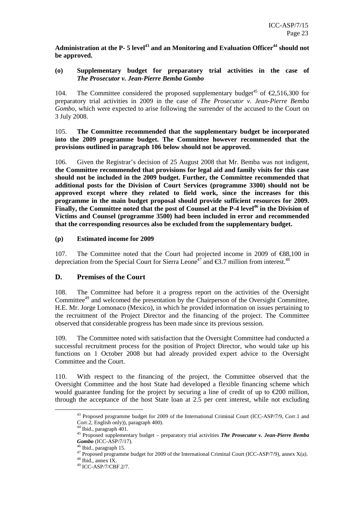**Administration at the P- 5 level<sup>43</sup> and an Monitoring and Evaluation Officer<sup>44</sup> should not be approved.** 

#### **(o) Supplementary budget for preparatory trial activities in the case of**  *The Prosecutor v. Jean-Pierre Bemba Gombo*

104. The Committee considered the proposed supplementary budget<sup>45</sup> of  $\epsilon$ 2,516,300 for preparatory trial activities in 2009 in the case of *The Prosecutor v. Jean-Pierre Bemba Gombo*, which were expected to arise following the surrender of the accused to the Court on 3 July 2008.

#### 105. **The Committee recommended that the supplementary budget be incorporated into the 2009 programme budget. The Committee however recommended that the provisions outlined in paragraph 106 below should not be approved.**

106. Given the Registrar's decision of 25 August 2008 that Mr. Bemba was not indigent, **the Committee recommended that provisions for legal aid and family visits for this case should not be included in the 2009 budget. Further, the Committee recommended that additional posts for the Division of Court Services (programme 3300) should not be approved except where they related to field work, since the increases for this programme in the main budget proposal should provide sufficient resources for 2009. Finally, the Committee noted that the post of Counsel at the P-4 level<sup>46</sup> in the Division of Victims and Counsel (programme 3500) had been included in error and recommended that the corresponding resources also be excluded from the supplementary budget.** 

#### **(p) Estimated income for 2009**

107. The Committee noted that the Court had projected income in 2009 of €88,100 in depreciation from the Special Court for Sierra Leone<sup>47</sup> and  $\epsilon$ 3.7 million from interest.<sup>48</sup>

#### **D. Premises of the Court**

108. The Committee had before it a progress report on the activities of the Oversight Committee<sup>49</sup> and welcomed the presentation by the Chairperson of the Oversight Committee, H.E. Mr. Jorge Lomonaco (Mexico), in which he provided information on issues pertaining to the recruitment of the Project Director and the financing of the project. The Committee observed that considerable progress has been made since its previous session.

109. The Committee noted with satisfaction that the Oversight Committee had conducted a successful recruitment process for the position of Project Director, who would take up his functions on 1 October 2008 but had already provided expert advice to the Oversight Committee and the Court.

110. With respect to the financing of the project, the Committee observed that the Oversight Committee and the host State had developed a flexible financing scheme which would guarantee funding for the project by securing a line of credit of up to  $\epsilon$ 200 million, through the acceptance of the host State loan at 2.5 per cent interest, while not excluding

<sup>&</sup>lt;sup>43</sup> Proposed programme budget for 2009 of the International Criminal Court (ICC-ASP/7/9, Corr.1 and Corr.2, English only)), paragraph 400).

<sup>&</sup>lt;sup>44</sup> Ibid., paragraph 401.

<sup>45</sup> Proposed supplementary budget – preparatory trial activities *The Prosecutor v. Jean-Pierre Bemba Gombo* (ICC-ASP/7/17).

Ibid., paragraph 15.

<sup>47</sup> Proposed programme budget for 2009 of the International Criminal Court (ICC-ASP/7/9), annex  $X(a)$ .

<sup>48</sup> Ibid., annex IX.

<sup>49</sup> ICC-ASP/7/CBF.2/7.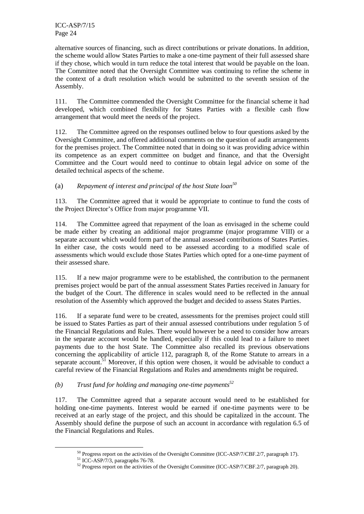alternative sources of financing, such as direct contributions or private donations. In addition, the scheme would allow States Parties to make a one-time payment of their full assessed share if they chose, which would in turn reduce the total interest that would be payable on the loan. The Committee noted that the Oversight Committee was continuing to refine the scheme in the context of a draft resolution which would be submitted to the seventh session of the Assembly.

111. The Committee commended the Oversight Committee for the financial scheme it had developed, which combined flexibility for States Parties with a flexible cash flow arrangement that would meet the needs of the project.

112. The Committee agreed on the responses outlined below to four questions asked by the Oversight Committee, and offered additional comments on the question of audit arrangements for the premises project. The Committee noted that in doing so it was providing advice within its competence as an expert committee on budget and finance, and that the Oversight Committee and the Court would need to continue to obtain legal advice on some of the detailed technical aspects of the scheme.

## (a) *Repayment of interest and principal of the host State loan<sup>50</sup>*

113. The Committee agreed that it would be appropriate to continue to fund the costs of the Project Director's Office from major programme VII.

114. The Committee agreed that repayment of the loan as envisaged in the scheme could be made either by creating an additional major programme (major programme VIII) or a separate account which would form part of the annual assessed contributions of States Parties. In either case, the costs would need to be assessed according to a modified scale of assessments which would exclude those States Parties which opted for a one-time payment of their assessed share.

115. If a new major programme were to be established, the contribution to the permanent premises project would be part of the annual assessment States Parties received in January for the budget of the Court. The difference in scales would need to be reflected in the annual resolution of the Assembly which approved the budget and decided to assess States Parties.

116. If a separate fund were to be created, assessments for the premises project could still be issued to States Parties as part of their annual assessed contributions under regulation 5 of the Financial Regulations and Rules. There would however be a need to consider how arrears in the separate account would be handled, especially if this could lead to a failure to meet payments due to the host State. The Committee also recalled its previous observations concerning the applicability of article 112, paragraph 8, of the Rome Statute to arrears in a separate account.<sup>51</sup> Moreover, if this option were chosen, it would be advisable to conduct a careful review of the Financial Regulations and Rules and amendments might be required.

### *(b) Trust fund for holding and managing one-time payments<sup>52</sup>*

117. The Committee agreed that a separate account would need to be established for holding one-time payments. Interest would be earned if one-time payments were to be received at an early stage of the project, and this should be capitalized in the account. The Assembly should define the purpose of such an account in accordance with regulation 6.5 of the Financial Regulations and Rules.

 $50$  Progress report on the activities of the Oversight Committee (ICC-ASP/7/CBF.2/7, paragraph 17).

 $51$  ICC-ASP/7/3, paragraphs 76-78.

<sup>&</sup>lt;sup>52</sup> Progress report on the activities of the Oversight Committee (ICC-ASP/7/CBF.2/7, paragraph 20).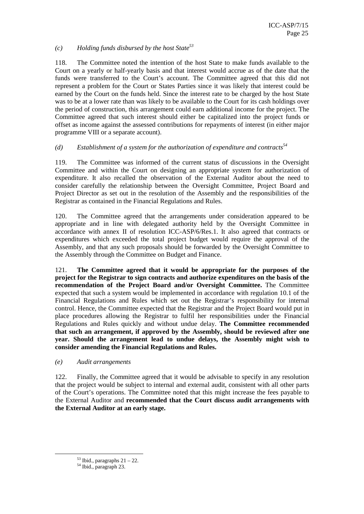#### *(c) Holding funds disbursed by the host State<sup>53</sup>*

118. The Committee noted the intention of the host State to make funds available to the Court on a yearly or half-yearly basis and that interest would accrue as of the date that the funds were transferred to the Court's account. The Committee agreed that this did not represent a problem for the Court or States Parties since it was likely that interest could be earned by the Court on the funds held. Since the interest rate to be charged by the host State was to be at a lower rate than was likely to be available to the Court for its cash holdings over the period of construction, this arrangement could earn additional income for the project. The Committee agreed that such interest should either be capitalized into the project funds or offset as income against the assessed contributions for repayments of interest (in either major programme VIII or a separate account).

#### *(d) Establishment of a system for the authorization of expenditure and contracts<sup>54</sup>*

119. The Committee was informed of the current status of discussions in the Oversight Committee and within the Court on designing an appropriate system for authorization of expenditure. It also recalled the observation of the External Auditor about the need to consider carefully the relationship between the Oversight Committee, Project Board and Project Director as set out in the resolution of the Assembly and the responsibilities of the Registrar as contained in the Financial Regulations and Rules.

120. The Committee agreed that the arrangements under consideration appeared to be appropriate and in line with delegated authority held by the Oversight Committee in accordance with annex II of resolution ICC-ASP/6/Res.1. It also agreed that contracts or expenditures which exceeded the total project budget would require the approval of the Assembly, and that any such proposals should be forwarded by the Oversight Committee to the Assembly through the Committee on Budget and Finance.

121. **The Committee agreed that it would be appropriate for the purposes of the project for the Registrar to sign contracts and authorize expenditures on the basis of the recommendation of the Project Board and/or Oversight Committee.** The Committee expected that such a system would be implemented in accordance with regulation 10.1 of the Financial Regulations and Rules which set out the Registrar's responsibility for internal control. Hence, the Committee expected that the Registrar and the Project Board would put in place procedures allowing the Registrar to fulfil her responsibilities under the Financial Regulations and Rules quickly and without undue delay. **The Committee recommended that such an arrangement, if approved by the Assembly, should be reviewed after one year. Should the arrangement lead to undue delays, the Assembly might wish to consider amending the Financial Regulations and Rules.** 

#### *(e) Audit arrangements*

122. Finally, the Committee agreed that it would be advisable to specify in any resolution that the project would be subject to internal and external audit, consistent with all other parts of the Court's operations. The Committee noted that this might increase the fees payable to the External Auditor and **recommended that the Court discuss audit arrangements with the External Auditor at an early stage.** 

 $53$  Ibid., paragraphs  $21 - 22$ .

<sup>&</sup>lt;sup>54</sup> Ibid., paragraph 23.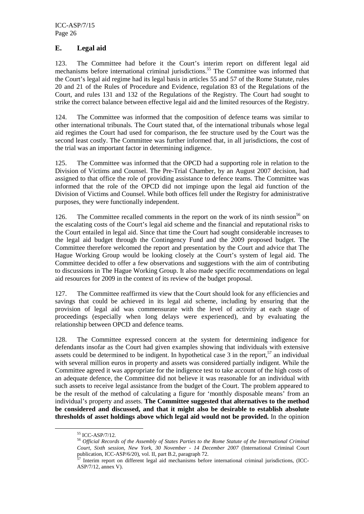#### **E. Legal aid**

123. The Committee had before it the Court's interim report on different legal aid mechanisms before international criminal jurisdictions.<sup>55</sup> The Committee was informed that the Court's legal aid regime had its legal basis in articles 55 and 57 of the Rome Statute, rules 20 and 21 of the Rules of Procedure and Evidence, regulation 83 of the Regulations of the Court, and rules 131 and 132 of the Regulations of the Registry. The Court had sought to strike the correct balance between effective legal aid and the limited resources of the Registry.

124. The Committee was informed that the composition of defence teams was similar to other international tribunals. The Court stated that, of the international tribunals whose legal aid regimes the Court had used for comparison, the fee structure used by the Court was the second least costly. The Committee was further informed that, in all jurisdictions, the cost of the trial was an important factor in determining indigence.

125. The Committee was informed that the OPCD had a supporting role in relation to the Division of Victims and Counsel. The Pre-Trial Chamber, by an August 2007 decision, had assigned to that office the role of providing assistance to defence teams. The Committee was informed that the role of the OPCD did not impinge upon the legal aid function of the Division of Victims and Counsel. While both offices fell under the Registry for administrative purposes, they were functionally independent.

126. The Committee recalled comments in the report on the work of its ninth session<sup>56</sup> on the escalating costs of the Court's legal aid scheme and the financial and reputational risks to the Court entailed in legal aid. Since that time the Court had sought considerable increases to the legal aid budget through the Contingency Fund and the 2009 proposed budget. The Committee therefore welcomed the report and presentation by the Court and advice that The Hague Working Group would be looking closely at the Court's system of legal aid. The Committee decided to offer a few observations and suggestions with the aim of contributing to discussions in The Hague Working Group. It also made specific recommendations on legal aid resources for 2009 in the context of its review of the budget proposal.

127. The Committee reaffirmed its view that the Court should look for any efficiencies and savings that could be achieved in its legal aid scheme, including by ensuring that the provision of legal aid was commensurate with the level of activity at each stage of proceedings (especially when long delays were experienced), and by evaluating the relationship between OPCD and defence teams.

128. The Committee expressed concern at the system for determining indigence for defendants insofar as the Court had given examples showing that individuals with extensive assets could be determined to be indigent. In hypothetical case  $3$  in the report,<sup>57</sup> an individual with several million euros in property and assets was considered partially indigent. While the Committee agreed it was appropriate for the indigence test to take account of the high costs of an adequate defence, the Committee did not believe it was reasonable for an individual with such assets to receive legal assistance from the budget of the Court. The problem appeared to be the result of the method of calculating a figure for 'monthly disposable means' from an individual's property and assets. **The Committee suggested that alternatives to the method be considered and discussed, and that it might also be desirable to establish absolute thresholds of asset holdings above which legal aid would not be provided.** In the opinion

<sup>55</sup> ICC-ASP/7/12.

<sup>56</sup> *Official Records of the Assembly of States Parties to the Rome Statute of the International Criminal Court, Sixth session, New York, 30 November - 14 December 2007* (International Criminal Court publication, ICC-ASP/6/20), vol. II, part B.2, paragraph 72.

 $^7$  Interim report on different legal aid mechanisms before international criminal jurisdictions, (ICC-ASP/7/12, annex V).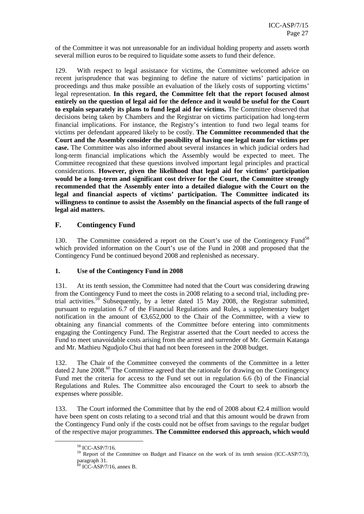of the Committee it was not unreasonable for an individual holding property and assets worth several million euros to be required to liquidate some assets to fund their defence.

129. With respect to legal assistance for victims, the Committee welcomed advice on recent jurisprudence that was beginning to define the nature of victims' participation in proceedings and thus make possible an evaluation of the likely costs of supporting victims' legal representation. **In this regard, the Committee felt that the report focused almost entirely on the question of legal aid for the defence and it would be useful for the Court to explain separately its plans to fund legal aid for victims.** The Committee observed that decisions being taken by Chambers and the Registrar on victims participation had long-term financial implications. For instance, the Registry's intention to fund two legal teams for victims per defendant appeared likely to be costly. **The Committee recommended that the Court and the Assembly consider the possibility of having one legal team for victims per case.** The Committee was also informed about several instances in which judicial orders had long-term financial implications which the Assembly would be expected to meet. The Committee recognized that these questions involved important legal principles and practical considerations. **However, given the likelihood that legal aid for victims' participation would be a long-term and significant cost driver for the Court, the Committee strongly recommended that the Assembly enter into a detailed dialogue with the Court on the legal and financial aspects of victims' participation. The Committee indicated its willingness to continue to assist the Assembly on the financial aspects of the full range of legal aid matters.** 

#### **F. Contingency Fund**

130. The Committee considered a report on the Court's use of the Contingency Fund<sup>58</sup> which provided information on the Court's use of the Fund in 2008 and proposed that the Contingency Fund be continued beyond 2008 and replenished as necessary.

#### **1. Use of the Contingency Fund in 2008**

131. At its tenth session, the Committee had noted that the Court was considering drawing from the Contingency Fund to meet the costs in 2008 relating to a second trial, including pretrial activities.<sup>59</sup> Subsequently, by a letter dated 15 May 2008, the Registrar submitted, pursuant to regulation 6.7 of the Financial Regulations and Rules, a supplementary budget notification in the amount of  $\epsilon$ 3,652,000 to the Chair of the Committee, with a view to obtaining any financial comments of the Committee before entering into commitments engaging the Contingency Fund. The Registrar asserted that the Court needed to access the Fund to meet unavoidable costs arising from the arrest and surrender of Mr. Germain Katanga and Mr. Mathieu Ngudjolo Chui that had not been foreseen in the 2008 budget.

132. The Chair of the Committee conveyed the comments of the Committee in a letter dated 2 June 2008.<sup>60</sup> The Committee agreed that the rationale for drawing on the Contingency Fund met the criteria for access to the Fund set out in regulation 6.6 (b) of the Financial Regulations and Rules. The Committee also encouraged the Court to seek to absorb the expenses where possible.

133. The Court informed the Committee that by the end of 2008 about €2.4 million would have been spent on costs relating to a second trial and that this amount would be drawn from the Contingency Fund only if the costs could not be offset from savings to the regular budget of the respective major programmes. **The Committee endorsed this approach, which would**

<sup>58</sup> ICC-ASP/7/16.

<sup>&</sup>lt;sup>59</sup> Report of the Committee on Budget and Finance on the work of its tenth session (ICC-ASP/7/3), paragraph 31.

 $60$  ICC-ASP/7/16, annex B.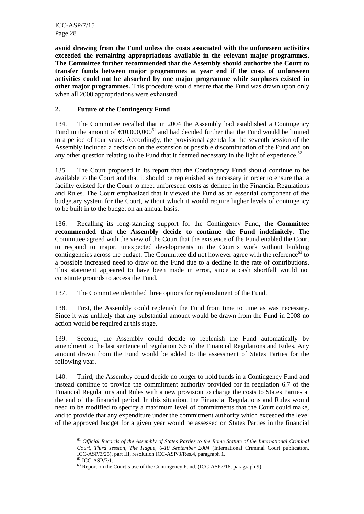ICC-ASP/7/15 Page 28

**avoid drawing from the Fund unless the costs associated with the unforeseen activities exceeded the remaining appropriations available in the relevant major programmes. The Committee further recommended that the Assembly should authorize the Court to transfer funds between major programmes at year end if the costs of unforeseen activities could not be absorbed by one major programme while surpluses existed in other major programmes.** This procedure would ensure that the Fund was drawn upon only when all 2008 appropriations were exhausted.

#### **2. Future of the Contingency Fund**

134. The Committee recalled that in 2004 the Assembly had established a Contingency Fund in the amount of  $\epsilon$ 10,000,000<sup>1</sup> and had decided further that the Fund would be limited to a period of four years. Accordingly, the provisional agenda for the seventh session of the Assembly included a decision on the extension or possible discontinuation of the Fund and on any other question relating to the Fund that it deemed necessary in the light of experience.<sup>62</sup>

135. The Court proposed in its report that the Contingency Fund should continue to be available to the Court and that it should be replenished as necessary in order to ensure that a facility existed for the Court to meet unforeseen costs as defined in the Financial Regulations and Rules. The Court emphasized that it viewed the Fund as an essential component of the budgetary system for the Court, without which it would require higher levels of contingency to be built in to the budget on an annual basis.

136. Recalling its long-standing support for the Contingency Fund, **the Committee recommended that the Assembly decide to continue the Fund indefinitely**. The Committee agreed with the view of the Court that the existence of the Fund enabled the Court to respond to major, unexpected developments in the Court's work without building contingencies across the budget. The Committee did not however agree with the reference<sup>63</sup> to a possible increased need to draw on the Fund due to a decline in the rate of contributions. This statement appeared to have been made in error, since a cash shortfall would not constitute grounds to access the Fund.

137. The Committee identified three options for replenishment of the Fund.

138. First, the Assembly could replenish the Fund from time to time as was necessary. Since it was unlikely that any substantial amount would be drawn from the Fund in 2008 no action would be required at this stage.

139. Second, the Assembly could decide to replenish the Fund automatically by amendment to the last sentence of regulation 6.6 of the Financial Regulations and Rules. Any amount drawn from the Fund would be added to the assessment of States Parties for the following year.

140. Third, the Assembly could decide no longer to hold funds in a Contingency Fund and instead continue to provide the commitment authority provided for in regulation 6.7 of the Financial Regulations and Rules with a new provision to charge the costs to States Parties at the end of the financial period. In this situation, the Financial Regulations and Rules would need to be modified to specify a maximum level of commitments that the Court could make, and to provide that any expenditure under the commitment authority which exceeded the level of the approved budget for a given year would be assessed on States Parties in the financial

<sup>61</sup> *Official Records of the Assembly of States Parties to the Rome Statute of the International Criminal Court, Third session, The Hague, 6-10 September 2004* (International Criminal Court publication, ICC-ASP/3/25), part III, resolution ICC-ASP/3/Res.4, paragraph 1.

 $^{62}$  ICC-ASP/7/1.

 $63$  Report on the Court's use of the Contingency Fund, (ICC-ASP7/16, paragraph 9).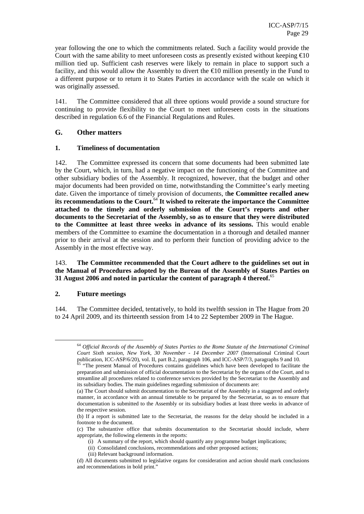year following the one to which the commitments related. Such a facility would provide the Court with the same ability to meet unforeseen costs as presently existed without keeping  $\epsilon$ 10 million tied up. Sufficient cash reserves were likely to remain in place to support such a facility, and this would allow the Assembly to divert the €10 million presently in the Fund to a different purpose or to return it to States Parties in accordance with the scale on which it was originally assessed.

141. The Committee considered that all three options would provide a sound structure for continuing to provide flexibility to the Court to meet unforeseen costs in the situations described in regulation 6.6 of the Financial Regulations and Rules.

#### **G. Other matters**

#### **1. Timeliness of documentation**

142. The Committee expressed its concern that some documents had been submitted late by the Court, which, in turn, had a negative impact on the functioning of the Committee and other subsidiary bodies of the Assembly. It recognized, however, that the budget and other major documents had been provided on time, notwithstanding the Committee's early meeting date. Given the importance of timely provision of documents, t**he Committee recalled anew its recommendations to the Court.**<sup>64</sup> **It wished to reiterate the importance the Committee attached to the timely and orderly submission of the Court's reports and other documents to the Secretariat of the Assembly, so as to ensure that they were distributed to the Committee at least three weeks in advance of its sessions.** This would enable members of the Committee to examine the documentation in a thorough and detailed manner prior to their arrival at the session and to perform their function of providing advice to the Assembly in the most effective way.

#### 143. **The Committee recommended that the Court adhere to the guidelines set out in the Manual of Procedures adopted by the Bureau of the Assembly of States Parties on 31 August 2006 and noted in particular the content of paragraph 4 thereof.**<sup>65</sup>

#### **2. Future meetings**

 $\overline{a}$ 

144. The Committee decided, tentatively, to hold its twelfth session in The Hague from 20 to 24 April 2009, and its thirteenth session from 14 to 22 September 2009 in The Hague.

<sup>64</sup> *Official Records of the Assembly of States Parties to the Rome Statute of the International Criminal Court Sixth session, New York, 30 November - 14 December 2007* (International Criminal Court publication, ICC-ASP/6/20), vol. II, part B.2, paragraph 106, and ICC-ASP/7/3, paragraphs 9 and 10.

<sup>&</sup>lt;sup>65</sup> "The present Manual of Procedures contains guidelines which have been developed to facilitate the preparation and submission of official documentation to the Secretariat by the organs of the Court, and to streamline all procedures related to conference services provided by the Secretariat to the Assembly and its subsidiary bodies. The main guidelines regarding submission of documents are:

<sup>(</sup>a) The Court should submit documentation to the Secretariat of the Assembly in a staggered and orderly manner, in accordance with an annual timetable to be prepared by the Secretariat, so as to ensure that documentation is submitted to the Assembly or its subsidiary bodies at least three weeks in advance of the respective session.

<sup>(</sup>b) If a report is submitted late to the Secretariat, the reasons for the delay should be included in a footnote to the document.

<sup>(</sup>c) The substantive office that submits documentation to the Secretariat should include, where appropriate, the following elements in the reports:

<sup>(</sup>i) A summary of the report, which should quantify any programme budget implications;

<sup>(</sup>ii) Consolidated conclusions, recommendations and other proposed actions;

<sup>(</sup>iii) Relevant background information.

<sup>(</sup>d) All documents submitted to legislative organs for consideration and action should mark conclusions and recommendations in bold print."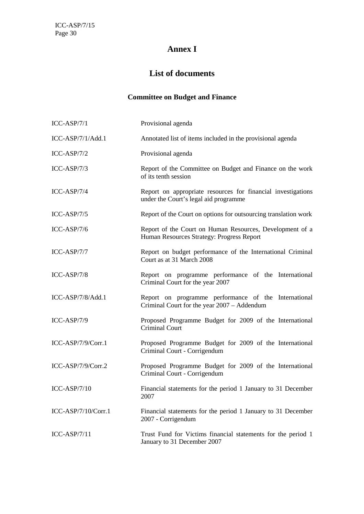## **Annex I**

## **List of documents**

## **Committee on Budget and Finance**

| $ICC-ASP/7/1$        | Provisional agenda                                                                                    |
|----------------------|-------------------------------------------------------------------------------------------------------|
| $ICC-ASP/7/1/Add.1$  | Annotated list of items included in the provisional agenda                                            |
| $ICC-ASP/7/2$        | Provisional agenda                                                                                    |
| $ICC-ASP/7/3$        | Report of the Committee on Budget and Finance on the work<br>of its tenth session                     |
| $ICC-ASP/7/4$        | Report on appropriate resources for financial investigations<br>under the Court's legal aid programme |
| $ICC-ASP/7/5$        | Report of the Court on options for outsourcing translation work                                       |
| $ICC-ASP/7/6$        | Report of the Court on Human Resources, Development of a<br>Human Resources Strategy: Progress Report |
| $ICC-ASP/7/7$        | Report on budget performance of the International Criminal<br>Court as at 31 March 2008               |
| $ICC-ASP/7/8$        | Report on programme performance of the International<br>Criminal Court for the year 2007              |
| ICC-ASP/7/8/Add.1    | Report on programme performance of the International<br>Criminal Court for the year 2007 - Addendum   |
| $ICC-ASP/7/9$        | Proposed Programme Budget for 2009 of the International<br><b>Criminal Court</b>                      |
| $ICC-ASP/7/9/Corr.1$ | Proposed Programme Budget for 2009 of the International<br>Criminal Court - Corrigendum               |
| ICC-ASP/7/9/Corr.2   | Proposed Programme Budget for 2009 of the International<br>Criminal Court - Corrigendum               |
| $ICC-ASP/7/10$       | Financial statements for the period 1 January to 31 December<br>2007                                  |
| ICC-ASP/7/10/Corr.1  | Financial statements for the period 1 January to 31 December<br>2007 - Corrigendum                    |
| $ICC-ASP/7/11$       | Trust Fund for Victims financial statements for the period 1<br>January to 31 December 2007           |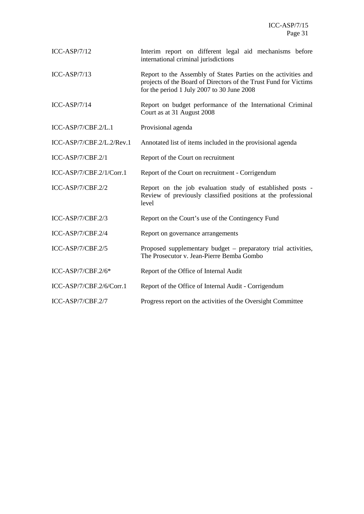| $ICC-ASP/7/12$            | Interim report on different legal aid mechanisms before<br>international criminal jurisdictions                                                                                  |  |  |  |  |
|---------------------------|----------------------------------------------------------------------------------------------------------------------------------------------------------------------------------|--|--|--|--|
| $ICC-ASP/7/13$            | Report to the Assembly of States Parties on the activities and<br>projects of the Board of Directors of the Trust Fund for Victims<br>for the period 1 July 2007 to 30 June 2008 |  |  |  |  |
| $ICC-ASP/7/14$            | Report on budget performance of the International Criminal<br>Court as at 31 August 2008                                                                                         |  |  |  |  |
| ICC-ASP/7/CBF.2/L.1       | Provisional agenda                                                                                                                                                               |  |  |  |  |
| ICC-ASP/7/CBF.2/L.2/Rev.1 | Annotated list of items included in the provisional agenda                                                                                                                       |  |  |  |  |
| ICC-ASP/7/CBF.2/1         | Report of the Court on recruitment                                                                                                                                               |  |  |  |  |
| ICC-ASP/7/CBF.2/1/Corr.1  | Report of the Court on recruitment - Corrigendum                                                                                                                                 |  |  |  |  |
| ICC-ASP/7/CBF.2/2         | Report on the job evaluation study of established posts -<br>Review of previously classified positions at the professional<br>level                                              |  |  |  |  |
| ICC-ASP/7/CBF.2/3         | Report on the Court's use of the Contingency Fund                                                                                                                                |  |  |  |  |
| ICC-ASP/7/CBF.2/4         | Report on governance arrangements                                                                                                                                                |  |  |  |  |
| ICC-ASP/7/CBF.2/5         | Proposed supplementary budget – preparatory trial activities,<br>The Prosecutor v. Jean-Pierre Bemba Gombo                                                                       |  |  |  |  |
| ICC-ASP/7/CBF.2/6*        | Report of the Office of Internal Audit                                                                                                                                           |  |  |  |  |
| ICC-ASP/7/CBF.2/6/Corr.1  | Report of the Office of Internal Audit - Corrigendum                                                                                                                             |  |  |  |  |
| ICC-ASP/7/CBF.2/7         | Progress report on the activities of the Oversight Committee                                                                                                                     |  |  |  |  |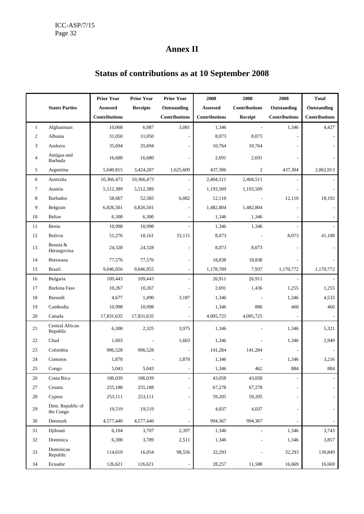## **Annex II**

## **Prior Year Prior Year Prior Year 1** 2008 2008 2008 1 Total States Parties **Assessed Receipts Outstanding Assessed Contributions Outstanding Outstanding Contributions Contributions Contributions Receipt Contributions Contributions**  1 Afghanistan | 10,068 6,987 3,081 1,346 - 1,346 4,427 2 Albania 31,050 31,050 - 8,073 8,073 - - 3 Andorra 19 35,694 35,694 - 10,764 10,764 - -4 Antigua and<br>Barbuda Alligua and 16,680 16,680 16,680 - 2,691 2,691 - 2,691 - 2,691 5 Argentina 5,049,815 3,424,207 1,625,609 437,306 2 437,304 2,062,913 6 Australia 10,366,473 10,366,473 - 2,404,511 2,404,511 - - 7 Austria 1 5,512,389 5,512,389 - 1,193,509 1,193,509 - 1 8 Barbados 1 58,667 52,585 6,082 12,110 - 12,110 18,192 9 Belgium 16,826,501 6,826,501 - 1,482,804 1,482,804 - -10 Belize 1,346 - 1,346 - 1,346 - 1,346 - 1,346 - 1,346 - 1,346 - 1,346 - 1,346 - 1,346 - 1,346 - 1,346 - 1,346 11 Benin 10,998 10,998 - 1,346 1,346 - 1 12 Bolivia 19,1276 18,161 33,115 8,073 - 8,073 41,188 13 Bosnia &<br>Herzegovina Herzegovina 24,328 24,328 - 8,073 8,073 - - 14 Botswana 1 77,576 77,576 - 18,838 18,838 - 1 15 Brazil 9,046,956 9,046,955 - 1,178,709 7,937 1,170,772 1,170,772 16 Bulgaria 109,443 109,443 - 26,911 26,911 - 20,911 17 Burkina Faso 10,267 10,267 - 2,691 1,436 1,255 1,255 18 Burundi 4,677 1,490 3,187 1,346 - 1,346 4,533 19 Cambodia 10,998 10,998 - 1,346 886 460 460 20 Canada 17,831,635 17,831,635 - 4,005,725 4,005,725 - -21 Central African<br>Republic Republic 6,300 2,325 3,975 1,346 - 1,346 5,321 22 Chad 1,603 - 1,603 1,346 - 1,346 2,949 23 Colombia | 906,528 906,528 - 141,284 141,284 - 1 24 Comoros 1,870 - 1,870 1,346 - 1,346 3,216 25 Congo 1 5,043 5,043 - 1,346 462 884 884 26 Costa Rica 186,039 186,039 - 43,058 43,058 - -27 Croatia 255,188 255,188 - 67,278 67,278 - - 28 Cyprus 253,111 253,111 - 59,205 59,205 -29 Dem. Republic of<br>the Congo the Congo 19,519 19,519 - 4,037 4,037 - - 30 Denmark 1,577,440 4,577,440 - 994,367 994,367 -31 Djibouti 6,104 3,707 2,397 1,346 - 1,346 3,743 32 Dominica 1 6,300 3,789 2,511 1,346 - 1,346 3,857 33 Dominican<br>Republic Pommican<br>Republic 114,610 16,054 98,556 32,293 - 32,293 130,849 34 Ecuador 126,621 126,621 - 28,257 11,588 16,669 16,669

## **Status of contributions as at 10 September 2008**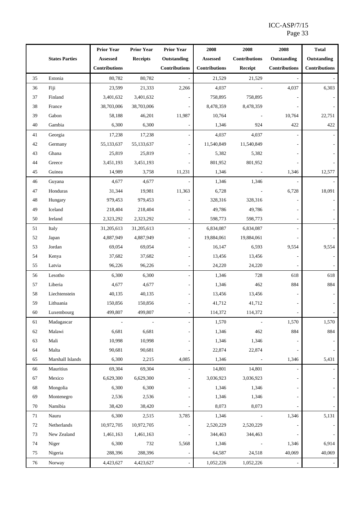|    |                       | <b>Prior Year</b>        | <b>Prior Year</b> | <b>Prior Year</b>    | 2008                 | 2008                     | 2008                 | <b>Total</b>         |
|----|-----------------------|--------------------------|-------------------|----------------------|----------------------|--------------------------|----------------------|----------------------|
|    | <b>States Parties</b> | Assessed                 | <b>Receipts</b>   | Outstanding          | <b>Assessed</b>      | <b>Contributions</b>     | Outstanding          | Outstanding          |
|    |                       | <b>Contributions</b>     |                   | <b>Contributions</b> | <b>Contributions</b> | Receipt                  | <b>Contributions</b> | <b>Contributions</b> |
| 35 | Estonia               | 80,782                   | 80,782            |                      | 21,529               | 21,529                   |                      |                      |
| 36 | Fiji                  | 23,599                   | 21,333            | 2,266                | 4,037                |                          | 4,037                | 6,303                |
| 37 | Finland               | 3,401,632                | 3,401,632         |                      | 758,895              | 758,895                  |                      |                      |
| 38 | France                | 38,703,006               | 38,703,006        |                      | 8,478,359            | 8,478,359                |                      |                      |
| 39 | Gabon                 | 58,188                   | 46,201            | 11,987               | 10,764               |                          | 10,764               | 22,751               |
| 40 | Gambia                | 6,300                    | 6,300             |                      | 1,346                | 924                      | 422                  | 422                  |
| 41 | Georgia               | 17,238                   | 17,238            |                      | 4,037                | 4,037                    |                      |                      |
| 42 | Germany               | 55,133,637               | 55,133,637        |                      | 11,540,849           | 11,540,849               |                      |                      |
| 43 | Ghana                 | 25,819                   | 25,819            |                      | 5,382                | 5,382                    |                      |                      |
| 44 | Greece                | 3,451,193                | 3,451,193         |                      | 801,952              | 801,952                  |                      |                      |
| 45 | Guinea                | 14,989                   | 3,758             | 11,231               | 1,346                |                          | 1,346                | 12,577               |
| 46 | Guyana                | 4,677                    | 4,677             |                      | 1,346                | 1,346                    |                      |                      |
| 47 | Honduras              | 31,344                   | 19,981            | 11,363               | 6,728                |                          | 6,728                | 18,091               |
| 48 | Hungary               | 979,453                  | 979,453           |                      | 328,316              | 328,316                  |                      |                      |
| 49 | Iceland               | 218,404                  | 218,404           |                      | 49,786               | 49,786                   |                      |                      |
| 50 | Ireland               | 2,323,292                | 2,323,292         |                      | 598,773              | 598,773                  |                      |                      |
| 51 | Italy                 | 31,205,613               | 31,205,613        |                      | 6,834,087            | 6,834,087                |                      |                      |
| 52 | Japan                 | 4,887,949                | 4,887,949         |                      | 19,884,061           | 19,884,061               |                      |                      |
| 53 | Jordan                | 69,054                   | 69,054            |                      | 16,147               | 6,593                    | 9,554                | 9,554                |
| 54 | Kenya                 | 37,682                   | 37,682            |                      | 13,456               | 13,456                   |                      |                      |
| 55 | Latvia                | 96,226                   | 96,226            |                      | 24,220               | 24,220                   |                      |                      |
| 56 | Lesotho               | 6,300                    | 6,300             |                      | 1,346                | 728                      | 618                  | 618                  |
| 57 | Liberia               | 4,677                    | 4,677             |                      | 1,346                | 462                      | 884                  | 884                  |
| 58 | Liechtenstein         | 40,135                   | 40,135            |                      | 13,456               | 13,456                   |                      |                      |
| 59 | Lithuania             | 150,856                  | 150,856           |                      | 41,712               | 41,712                   |                      |                      |
| 60 | Luxembourg            | 499,807                  | 499,807           |                      | 114,372              | 114,372                  |                      |                      |
| 61 | Madagascar            | $\overline{\phantom{a}}$ |                   |                      | 1,570                | $\overline{\phantom{a}}$ | 1,570                | 1,570                |
| 62 | Malawi                | 6,681                    | 6,681             |                      | 1,346                | 462                      | 884                  | 884                  |
| 63 | Mali                  | 10,998                   | 10,998            |                      | 1,346                | 1,346                    |                      |                      |
| 64 | Malta                 | 90,681                   | 90,681            |                      | 22,874               | 22,874                   |                      |                      |
| 65 | Marshall Islands      | 6,300                    | 2,215             | 4,085                | 1,346                |                          | 1,346                | 5,431                |
| 66 | Mauritius             | 69,304                   | 69,304            |                      | 14,801               | 14,801                   |                      |                      |
| 67 | Mexico                | 6,629,300                | 6,629,300         |                      | 3,036,923            | 3,036,923                |                      |                      |
| 68 | Mongolia              | 6,300                    | 6,300             |                      | 1,346                | 1,346                    |                      |                      |
| 69 | Montenegro            | 2,536                    | 2,536             |                      | 1,346                | 1,346                    |                      |                      |
| 70 | Namibia               | 38,420                   | 38,420            |                      | 8,073                | 8,073                    |                      |                      |
| 71 | Nauru                 | 6,300                    | 2,515             | 3,785                | 1,346                |                          | 1,346                | 5,131                |
| 72 | Netherlands           | 10,972,705               | 10,972,705        |                      | 2,520,229            | 2,520,229                |                      |                      |
| 73 | New Zealand           | 1,461,163                | 1,461,163         |                      | 344,463              | 344,463                  |                      |                      |
| 74 | Niger                 | 6,300                    | 732               | 5,568                | 1,346                |                          | 1,346                | 6,914                |
| 75 | Nigeria               | 288,396                  | 288,396           |                      | 64,587               | 24,518                   | 40,069               | 40,069               |
| 76 | Norway                | 4,423,627                | 4,423,627         |                      | 1,052,226            | 1,052,226                |                      |                      |